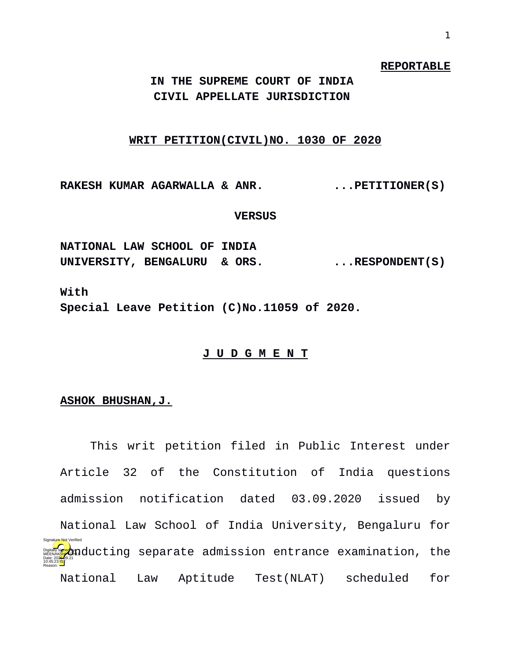#### **REPORTABLE**

**IN THE SUPREME COURT OF INDIA CIVIL APPELLATE JURISDICTION** 

# **WRIT PETITION(CIVIL)NO. 1030 OF 2020**

RAKESH KUMAR AGARWALLA & ANR. ...PETITIONER(S)

### **VERSUS**

**NATIONAL LAW SCHOOL OF INDIA**  UNIVERSITY, BENGALURU & ORS. ...RESPONDENT(S)

**With Special Leave Petition (C)No.11059 of 2020.**

# **J U D G M E N T**

## **ASHOK BHUSHAN,J.**

This writ petition filed in Public Interest under Article 32 of the Constitution of India questions admission notification dated 03.09.2020 issued by National Law School of India University, Bengaluru for **Digitally starte** admission entrance examination, the National Law Aptitude Test(NLAT) scheduled for Date: 2020.09.21 10:45:23<sup>1S</sup> Reason: Signature Not Verified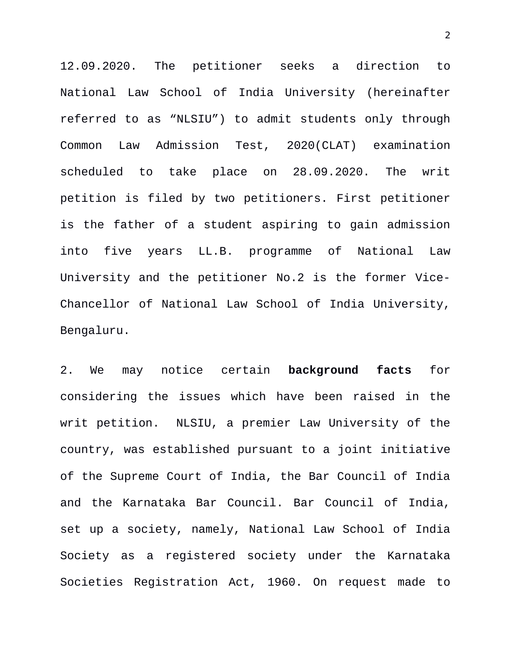12.09.2020. The petitioner seeks a direction to National Law School of India University (hereinafter referred to as "NLSIU") to admit students only through Common Law Admission Test, 2020(CLAT) examination scheduled to take place on 28.09.2020. The writ petition is filed by two petitioners. First petitioner is the father of a student aspiring to gain admission into five years LL.B. programme of National Law University and the petitioner No.2 is the former Vice-Chancellor of National Law School of India University, Bengaluru.

2. We may notice certain **background facts** for considering the issues which have been raised in the writ petition. NLSIU, a premier Law University of the country, was established pursuant to a joint initiative of the Supreme Court of India, the Bar Council of India and the Karnataka Bar Council. Bar Council of India, set up a society, namely, National Law School of India Society as a registered society under the Karnataka Societies Registration Act, 1960. On request made to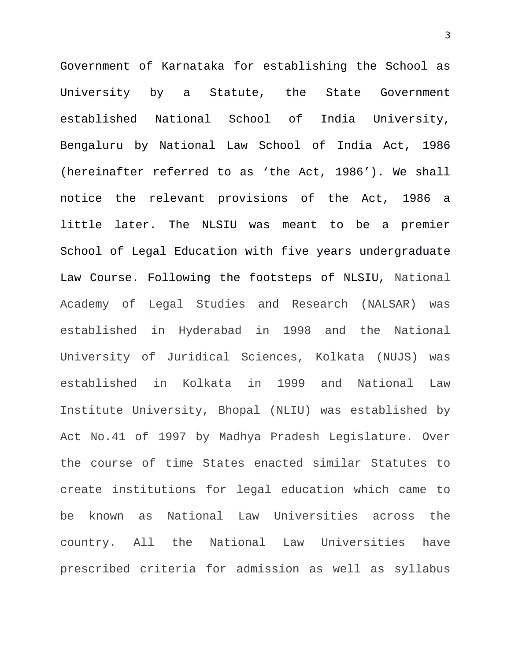Government of Karnataka for establishing the School as University by a Statute, the State Government established National School of India University, Bengaluru by National Law School of India Act, 1986 (hereinafter referred to as 'the Act, 1986'). We shall notice the relevant provisions of the Act, 1986 a little later. The NLSIU was meant to be a premier School of Legal Education with five years undergraduate Law Course. Following the footsteps of NLSIU, National Academy of Legal Studies and Research (NALSAR) was established in Hyderabad in 1998 and the National University of Juridical Sciences, Kolkata (NUJS) was established in Kolkata in 1999 and National Law Institute University, Bhopal (NLIU) was established by Act No.41 of 1997 by Madhya Pradesh Legislature. Over the course of time States enacted similar Statutes to create institutions for legal education which came to be known as National Law Universities across the country. All the National Law Universities have prescribed criteria for admission as well as syllabus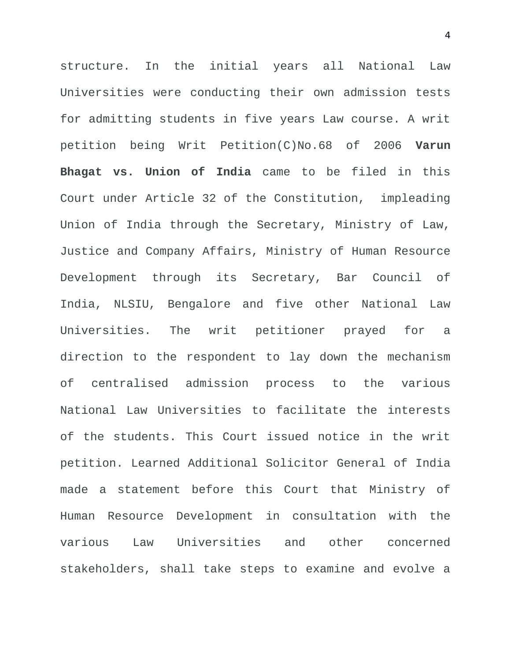structure. In the initial years all National Law Universities were conducting their own admission tests for admitting students in five years Law course. A writ petition being Writ Petition(C)No.68 of 2006 **Varun Bhagat vs. Union of India** came to be filed in this Court under Article 32 of the Constitution, impleading Union of India through the Secretary, Ministry of Law, Justice and Company Affairs, Ministry of Human Resource Development through its Secretary, Bar Council of India, NLSIU, Bengalore and five other National Law Universities. The writ petitioner prayed for a direction to the respondent to lay down the mechanism of centralised admission process to the various National Law Universities to facilitate the interests of the students. This Court issued notice in the writ petition. Learned Additional Solicitor General of India made a statement before this Court that Ministry of Human Resource Development in consultation with the various Law Universities and other concerned stakeholders, shall take steps to examine and evolve a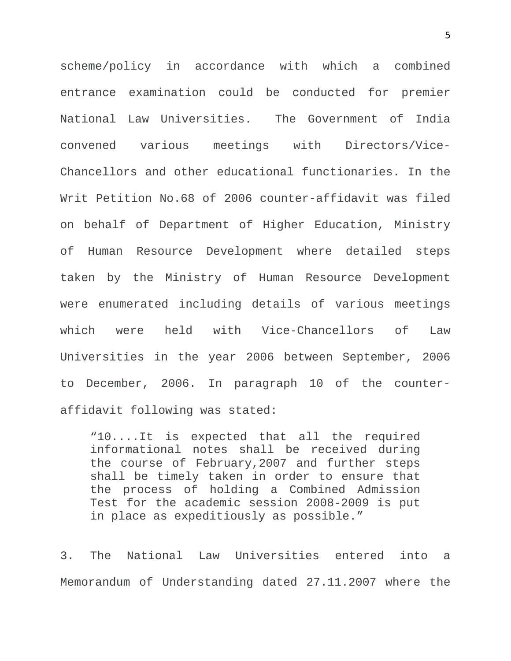scheme/policy in accordance with which a combined entrance examination could be conducted for premier National Law Universities. The Government of India convened various meetings with Directors/Vice-Chancellors and other educational functionaries. In the Writ Petition No.68 of 2006 counter-affidavit was filed on behalf of Department of Higher Education, Ministry of Human Resource Development where detailed steps taken by the Ministry of Human Resource Development were enumerated including details of various meetings which were held with Vice-Chancellors of Law Universities in the year 2006 between September, 2006 to December, 2006. In paragraph 10 of the counteraffidavit following was stated:

"10....It is expected that all the required informational notes shall be received during the course of February,2007 and further steps shall be timely taken in order to ensure that the process of holding a Combined Admission Test for the academic session 2008-2009 is put in place as expeditiously as possible."

3. The National Law Universities entered into a Memorandum of Understanding dated 27.11.2007 where the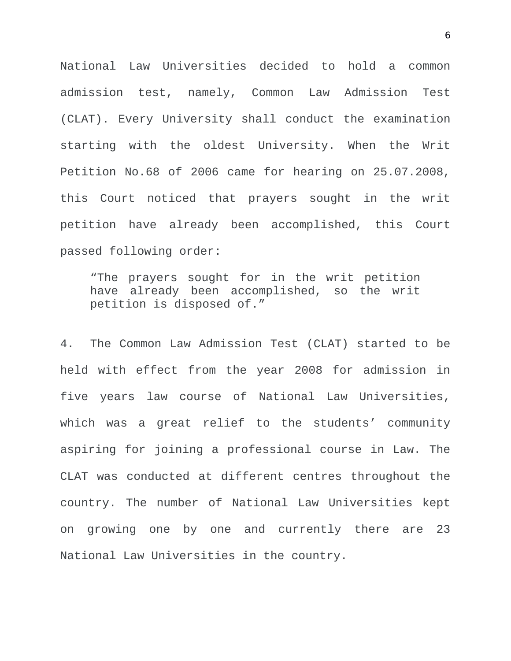National Law Universities decided to hold a common admission test, namely, Common Law Admission Test (CLAT). Every University shall conduct the examination starting with the oldest University. When the Writ Petition No.68 of 2006 came for hearing on 25.07.2008, this Court noticed that prayers sought in the writ petition have already been accomplished, this Court passed following order:

"The prayers sought for in the writ petition have already been accomplished, so the writ petition is disposed of."

4. The Common Law Admission Test (CLAT) started to be held with effect from the year 2008 for admission in five years law course of National Law Universities, which was a great relief to the students' community aspiring for joining a professional course in Law. The CLAT was conducted at different centres throughout the country. The number of National Law Universities kept on growing one by one and currently there are 23 National Law Universities in the country.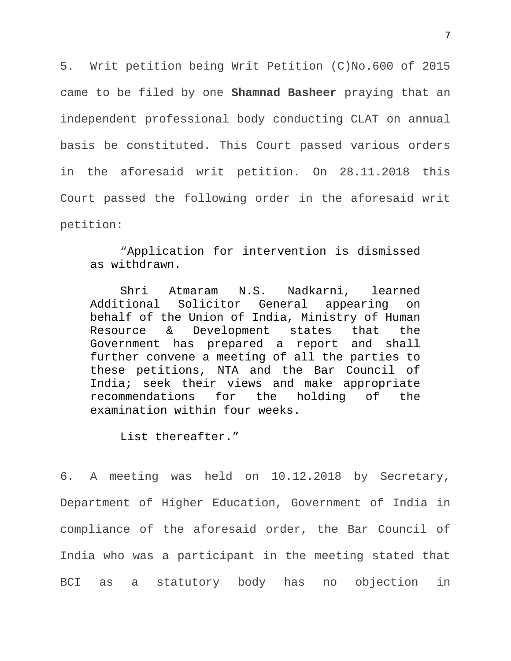5. Writ petition being Writ Petition (C)No.600 of 2015 came to be filed by one **Shamnad Basheer** praying that an independent professional body conducting CLAT on annual basis be constituted. This Court passed various orders in the aforesaid writ petition. On 28.11.2018 this Court passed the following order in the aforesaid writ petition:

"Application for intervention is dismissed as withdrawn.

Shri Atmaram N.S. Nadkarni, learned Additional Solicitor General appearing on behalf of the Union of India, Ministry of Human Resource & Development states that the Government has prepared a report and shall further convene a meeting of all the parties to these petitions, NTA and the Bar Council of India; seek their views and make appropriate recommendations for the holding of the examination within four weeks.

List thereafter."

6. A meeting was held on 10.12.2018 by Secretary, Department of Higher Education, Government of India in compliance of the aforesaid order, the Bar Council of India who was a participant in the meeting stated that BCI as a statutory body has no objection in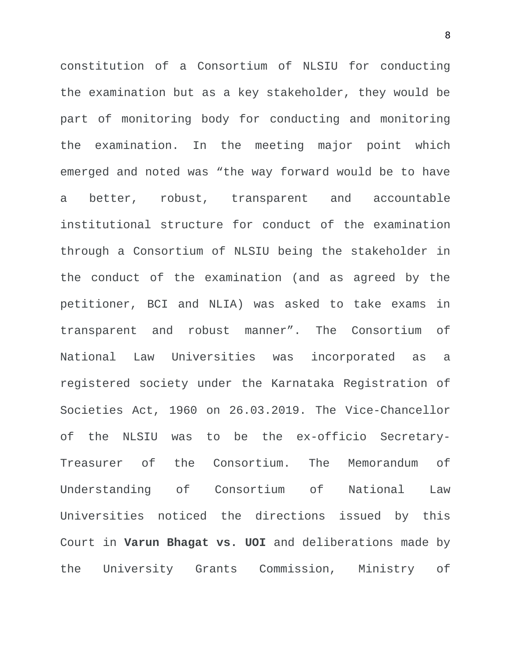constitution of a Consortium of NLSIU for conducting the examination but as a key stakeholder, they would be part of monitoring body for conducting and monitoring the examination. In the meeting major point which emerged and noted was "the way forward would be to have a better, robust, transparent and accountable institutional structure for conduct of the examination through a Consortium of NLSIU being the stakeholder in the conduct of the examination (and as agreed by the petitioner, BCI and NLIA) was asked to take exams in transparent and robust manner". The Consortium of National Law Universities was incorporated as a registered society under the Karnataka Registration of Societies Act, 1960 on 26.03.2019. The Vice-Chancellor of the NLSIU was to be the ex-officio Secretary-Treasurer of the Consortium. The Memorandum of Understanding of Consortium of National Law Universities noticed the directions issued by this Court in **Varun Bhagat vs. UOI** and deliberations made by the University Grants Commission, Ministry of

8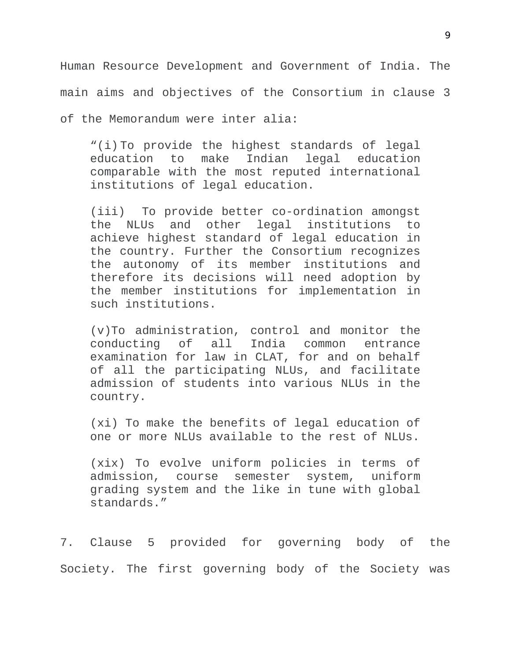Human Resource Development and Government of India. The main aims and objectives of the Consortium in clause 3 of the Memorandum were inter alia:

"(i) To provide the highest standards of legal education to make Indian legal education comparable with the most reputed international institutions of legal education.

(iii) To provide better co-ordination amongst the NLUs and other legal institutions to achieve highest standard of legal education in the country. Further the Consortium recognizes the autonomy of its member institutions and therefore its decisions will need adoption by the member institutions for implementation in such institutions.

(v)To administration, control and monitor the conducting of all India common entrance examination for law in CLAT, for and on behalf of all the participating NLUs, and facilitate admission of students into various NLUs in the country.

(xi) To make the benefits of legal education of one or more NLUs available to the rest of NLUs.

(xix) To evolve uniform policies in terms of admission, course semester system, uniform grading system and the like in tune with global standards."

7. Clause 5 provided for governing body of the Society. The first governing body of the Society was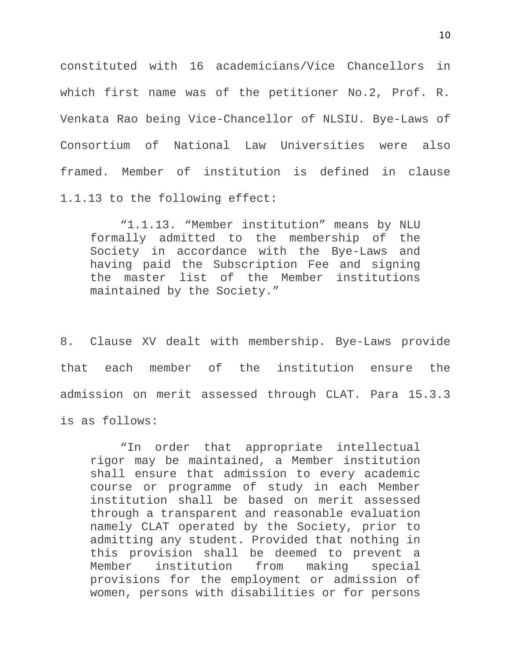constituted with 16 academicians/Vice Chancellors in which first name was of the petitioner No.2, Prof. R. Venkata Rao being Vice-Chancellor of NLSIU. Bye-Laws of Consortium of National Law Universities were also framed. Member of institution is defined in clause 1.1.13 to the following effect:

"1.1.13. "Member institution" means by NLU formally admitted to the membership of the Society in accordance with the Bye-Laws and having paid the Subscription Fee and signing the master list of the Member institutions maintained by the Society."

8. Clause XV dealt with membership. Bye-Laws provide that each member of the institution ensure the admission on merit assessed through CLAT. Para 15.3.3 is as follows:

"In order that appropriate intellectual rigor may be maintained, a Member institution shall ensure that admission to every academic course or programme of study in each Member institution shall be based on merit assessed through a transparent and reasonable evaluation namely CLAT operated by the Society, prior to admitting any student. Provided that nothing in this provision shall be deemed to prevent a Member institution from making special provisions for the employment or admission of women, persons with disabilities or for persons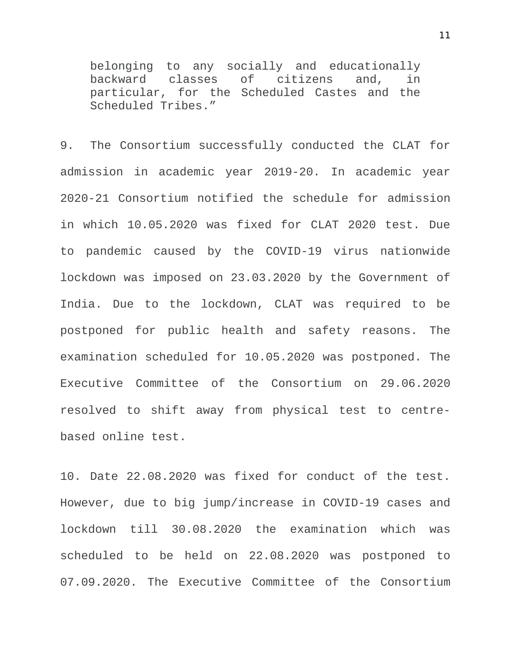belonging to any socially and educationally backward classes of citizens and, in particular, for the Scheduled Castes and the Scheduled Tribes."

9. The Consortium successfully conducted the CLAT for admission in academic year 2019-20. In academic year 2020-21 Consortium notified the schedule for admission in which 10.05.2020 was fixed for CLAT 2020 test. Due to pandemic caused by the COVID-19 virus nationwide lockdown was imposed on 23.03.2020 by the Government of India. Due to the lockdown, CLAT was required to be postponed for public health and safety reasons. The examination scheduled for 10.05.2020 was postponed. The Executive Committee of the Consortium on 29.06.2020 resolved to shift away from physical test to centrebased online test.

10. Date 22.08.2020 was fixed for conduct of the test. However, due to big jump/increase in COVID-19 cases and lockdown till 30.08.2020 the examination which was scheduled to be held on 22.08.2020 was postponed to 07.09.2020. The Executive Committee of the Consortium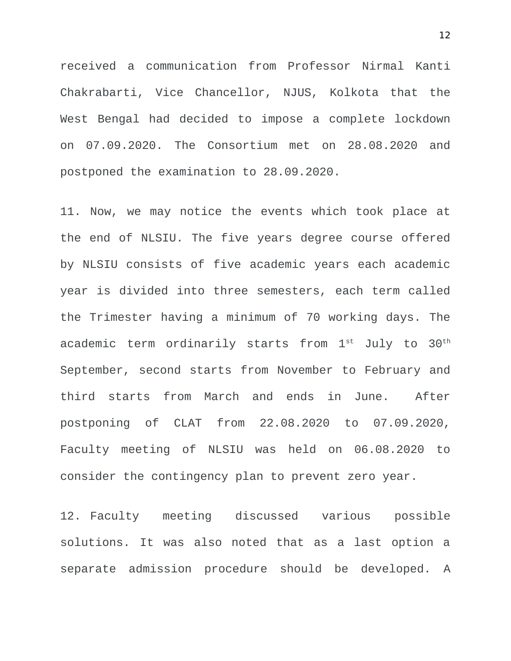received a communication from Professor Nirmal Kanti Chakrabarti, Vice Chancellor, NJUS, Kolkota that the West Bengal had decided to impose a complete lockdown on 07.09.2020. The Consortium met on 28.08.2020 and postponed the examination to 28.09.2020.

11. Now, we may notice the events which took place at the end of NLSIU. The five years degree course offered by NLSIU consists of five academic years each academic year is divided into three semesters, each term called the Trimester having a minimum of 70 working days. The academic term ordinarily starts from  $1^{st}$  July to  $30^{th}$ September, second starts from November to February and third starts from March and ends in June. After postponing of CLAT from 22.08.2020 to 07.09.2020, Faculty meeting of NLSIU was held on 06.08.2020 to consider the contingency plan to prevent zero year.

12. Faculty meeting discussed various possible solutions. It was also noted that as a last option a separate admission procedure should be developed. A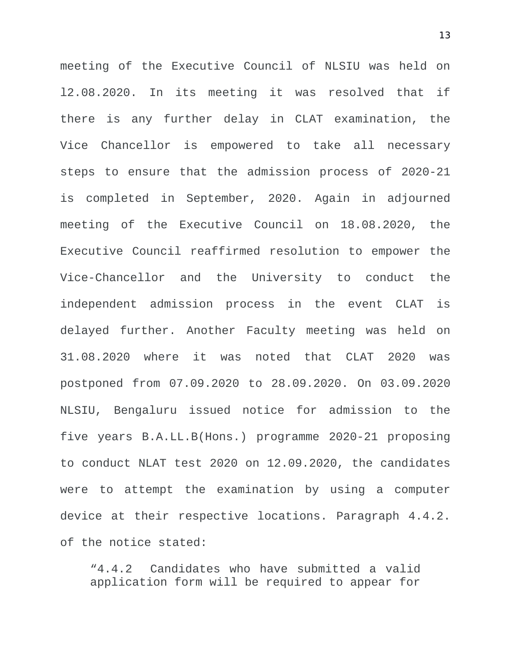meeting of the Executive Council of NLSIU was held on l2.08.2020. In its meeting it was resolved that if there is any further delay in CLAT examination, the Vice Chancellor is empowered to take all necessary steps to ensure that the admission process of 2020-21 is completed in September, 2020. Again in adjourned meeting of the Executive Council on 18.08.2020, the Executive Council reaffirmed resolution to empower the Vice-Chancellor and the University to conduct the independent admission process in the event CLAT is delayed further. Another Faculty meeting was held on 31.08.2020 where it was noted that CLAT 2020 was postponed from 07.09.2020 to 28.09.2020. On 03.09.2020 NLSIU, Bengaluru issued notice for admission to the five years B.A.LL.B(Hons.) programme 2020-21 proposing to conduct NLAT test 2020 on 12.09.2020, the candidates were to attempt the examination by using a computer device at their respective locations. Paragraph 4.4.2. of the notice stated:

"4.4.2 Candidates who have submitted a valid application form will be required to appear for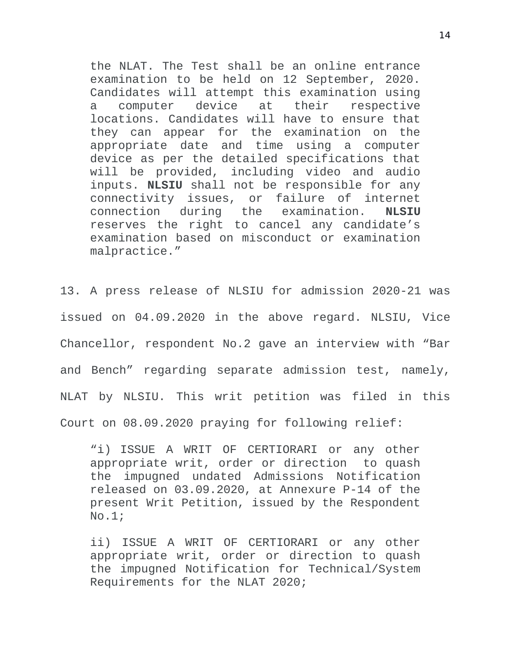the NLAT. The Test shall be an online entrance examination to be held on 12 September, 2020. Candidates will attempt this examination using a computer device at their respective locations. Candidates will have to ensure that they can appear for the examination on the appropriate date and time using a computer device as per the detailed specifications that will be provided, including video and audio inputs. **NLSIU** shall not be responsible for any connectivity issues, or failure of internet connection during the examination. **NLSIU** reserves the right to cancel any candidate's examination based on misconduct or examination malpractice."

13. A press release of NLSIU for admission 2020-21 was issued on 04.09.2020 in the above regard. NLSIU, Vice Chancellor, respondent No.2 gave an interview with "Bar and Bench" regarding separate admission test, namely, NLAT by NLSIU. This writ petition was filed in this Court on 08.09.2020 praying for following relief:

"i) ISSUE A WRIT OF CERTIORARI or any other appropriate writ, order or direction to quash the impugned undated Admissions Notification released on 03.09.2020, at Annexure P-14 of the present Writ Petition, issued by the Respondent No.1;

ii) ISSUE A WRIT OF CERTIORARI or any other appropriate writ, order or direction to quash the impugned Notification for Technical/System Requirements for the NLAT 2020;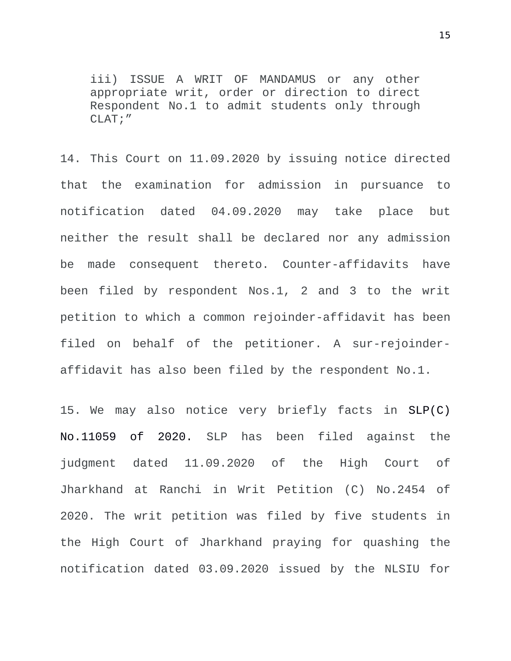iii) ISSUE A WRIT OF MANDAMUS or any other appropriate writ, order or direction to direct Respondent No.1 to admit students only through CLAT;"

14. This Court on 11.09.2020 by issuing notice directed that the examination for admission in pursuance to notification dated 04.09.2020 may take place but neither the result shall be declared nor any admission be made consequent thereto. Counter-affidavits have been filed by respondent Nos.1, 2 and 3 to the writ petition to which a common rejoinder-affidavit has been filed on behalf of the petitioner. A sur-rejoinderaffidavit has also been filed by the respondent No.1.

15. We may also notice very briefly facts in SLP(C) No.11059 of 2020. SLP has been filed against the judgment dated 11.09.2020 of the High Court of Jharkhand at Ranchi in Writ Petition (C) No.2454 of 2020. The writ petition was filed by five students in the High Court of Jharkhand praying for quashing the notification dated 03.09.2020 issued by the NLSIU for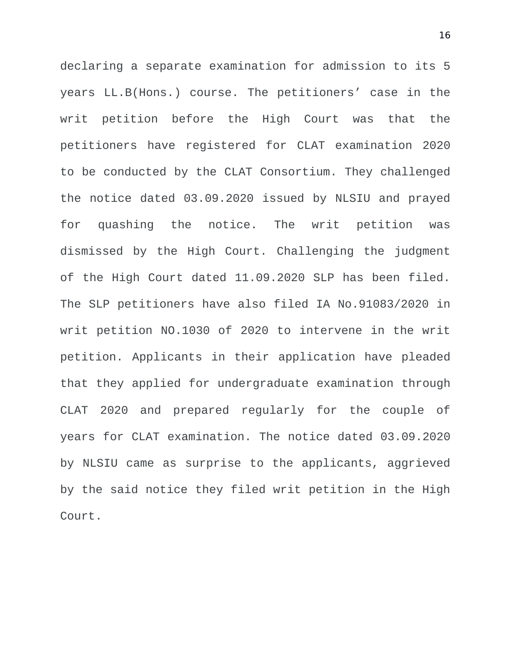declaring a separate examination for admission to its 5 years LL.B(Hons.) course. The petitioners' case in the writ petition before the High Court was that the petitioners have registered for CLAT examination 2020 to be conducted by the CLAT Consortium. They challenged the notice dated 03.09.2020 issued by NLSIU and prayed for quashing the notice. The writ petition was dismissed by the High Court. Challenging the judgment of the High Court dated 11.09.2020 SLP has been filed. The SLP petitioners have also filed IA No.91083/2020 in writ petition NO.1030 of 2020 to intervene in the writ petition. Applicants in their application have pleaded that they applied for undergraduate examination through CLAT 2020 and prepared regularly for the couple of years for CLAT examination. The notice dated 03.09.2020 by NLSIU came as surprise to the applicants, aggrieved by the said notice they filed writ petition in the High Court.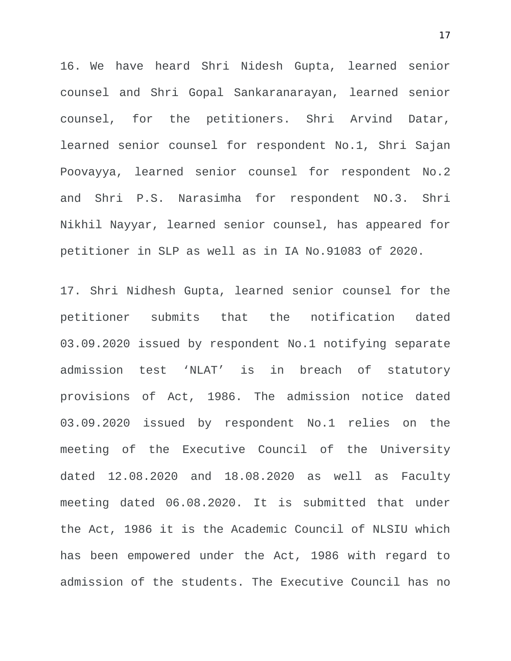16. We have heard Shri Nidesh Gupta, learned senior counsel and Shri Gopal Sankaranarayan, learned senior counsel, for the petitioners. Shri Arvind Datar, learned senior counsel for respondent No.1, Shri Sajan Poovayya, learned senior counsel for respondent No.2 and Shri P.S. Narasimha for respondent NO.3. Shri Nikhil Nayyar, learned senior counsel, has appeared for petitioner in SLP as well as in IA No.91083 of 2020.

17. Shri Nidhesh Gupta, learned senior counsel for the petitioner submits that the notification dated 03.09.2020 issued by respondent No.1 notifying separate admission test 'NLAT' is in breach of statutory provisions of Act, 1986. The admission notice dated 03.09.2020 issued by respondent No.1 relies on the meeting of the Executive Council of the University dated 12.08.2020 and 18.08.2020 as well as Faculty meeting dated 06.08.2020. It is submitted that under the Act, 1986 it is the Academic Council of NLSIU which has been empowered under the Act, 1986 with regard to admission of the students. The Executive Council has no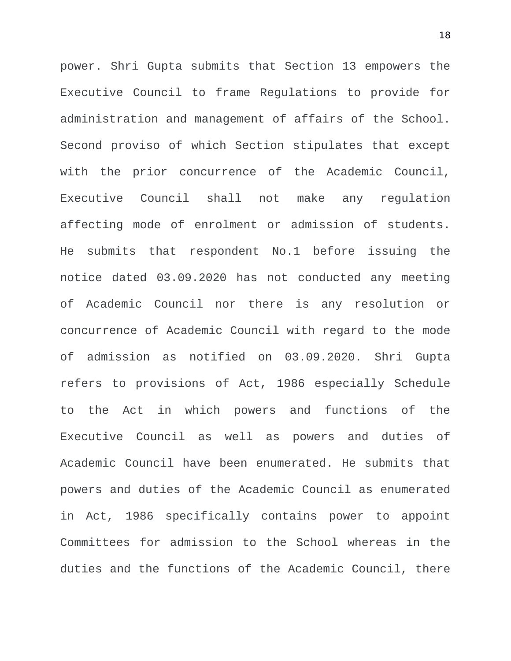power. Shri Gupta submits that Section 13 empowers the Executive Council to frame Regulations to provide for administration and management of affairs of the School. Second proviso of which Section stipulates that except with the prior concurrence of the Academic Council, Executive Council shall not make any regulation affecting mode of enrolment or admission of students. He submits that respondent No.1 before issuing the notice dated 03.09.2020 has not conducted any meeting of Academic Council nor there is any resolution or concurrence of Academic Council with regard to the mode of admission as notified on 03.09.2020. Shri Gupta refers to provisions of Act, 1986 especially Schedule to the Act in which powers and functions of the Executive Council as well as powers and duties of Academic Council have been enumerated. He submits that powers and duties of the Academic Council as enumerated in Act, 1986 specifically contains power to appoint Committees for admission to the School whereas in the duties and the functions of the Academic Council, there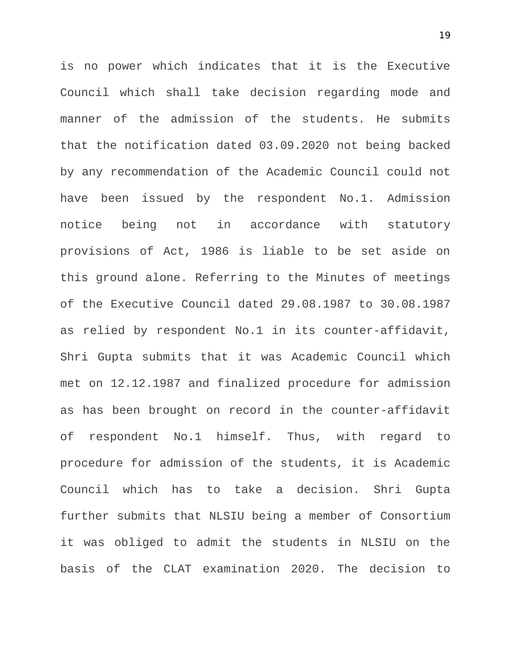is no power which indicates that it is the Executive Council which shall take decision regarding mode and manner of the admission of the students. He submits that the notification dated 03.09.2020 not being backed by any recommendation of the Academic Council could not have been issued by the respondent No.1. Admission notice being not in accordance with statutory provisions of Act, 1986 is liable to be set aside on this ground alone. Referring to the Minutes of meetings of the Executive Council dated 29.08.1987 to 30.08.1987 as relied by respondent No.1 in its counter-affidavit, Shri Gupta submits that it was Academic Council which met on 12.12.1987 and finalized procedure for admission as has been brought on record in the counter-affidavit of respondent No.1 himself. Thus, with regard to procedure for admission of the students, it is Academic Council which has to take a decision. Shri Gupta further submits that NLSIU being a member of Consortium it was obliged to admit the students in NLSIU on the basis of the CLAT examination 2020. The decision to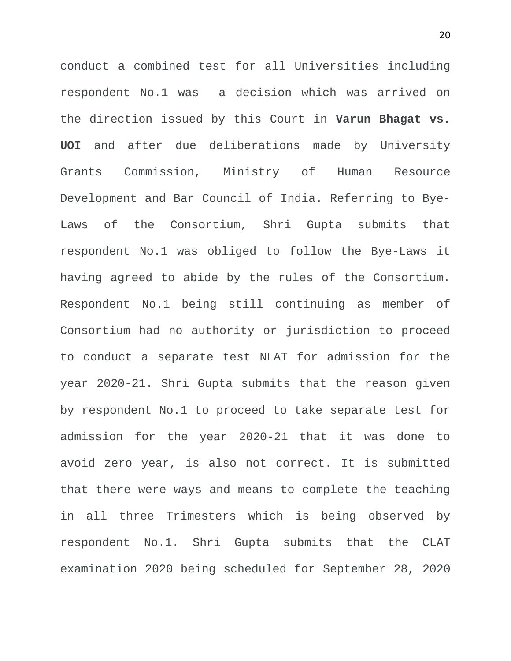conduct a combined test for all Universities including respondent No.1 was a decision which was arrived on the direction issued by this Court in **Varun Bhagat vs. UOI** and after due deliberations made by University Grants Commission, Ministry of Human Resource Development and Bar Council of India. Referring to Bye-Laws of the Consortium, Shri Gupta submits that respondent No.1 was obliged to follow the Bye-Laws it having agreed to abide by the rules of the Consortium. Respondent No.1 being still continuing as member of Consortium had no authority or jurisdiction to proceed to conduct a separate test NLAT for admission for the year 2020-21. Shri Gupta submits that the reason given by respondent No.1 to proceed to take separate test for admission for the year 2020-21 that it was done to avoid zero year, is also not correct. It is submitted that there were ways and means to complete the teaching in all three Trimesters which is being observed by respondent No.1. Shri Gupta submits that the CLAT examination 2020 being scheduled for September 28, 2020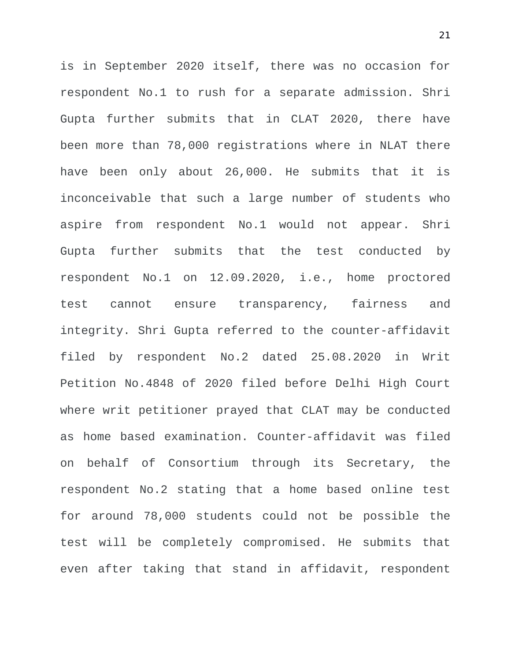is in September 2020 itself, there was no occasion for respondent No.1 to rush for a separate admission. Shri Gupta further submits that in CLAT 2020, there have been more than 78,000 registrations where in NLAT there have been only about 26,000. He submits that it is inconceivable that such a large number of students who aspire from respondent No.1 would not appear. Shri Gupta further submits that the test conducted by respondent No.1 on 12.09.2020, i.e., home proctored test cannot ensure transparency, fairness and integrity. Shri Gupta referred to the counter-affidavit filed by respondent No.2 dated 25.08.2020 in Writ Petition No.4848 of 2020 filed before Delhi High Court where writ petitioner prayed that CLAT may be conducted as home based examination. Counter-affidavit was filed on behalf of Consortium through its Secretary, the respondent No.2 stating that a home based online test for around 78,000 students could not be possible the test will be completely compromised. He submits that even after taking that stand in affidavit, respondent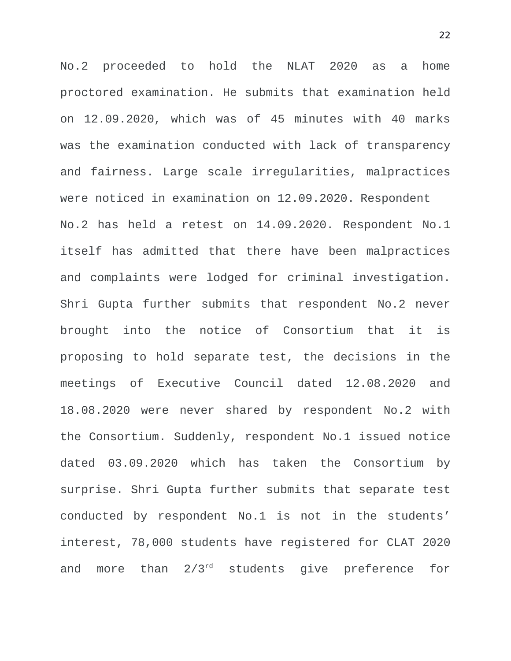No.2 proceeded to hold the NLAT 2020 as a home proctored examination. He submits that examination held on 12.09.2020, which was of 45 minutes with 40 marks was the examination conducted with lack of transparency and fairness. Large scale irregularities, malpractices were noticed in examination on 12.09.2020. Respondent No.2 has held a retest on 14.09.2020. Respondent No.1 itself has admitted that there have been malpractices and complaints were lodged for criminal investigation. Shri Gupta further submits that respondent No.2 never brought into the notice of Consortium that it is proposing to hold separate test, the decisions in the meetings of Executive Council dated 12.08.2020 and 18.08.2020 were never shared by respondent No.2 with the Consortium. Suddenly, respondent No.1 issued notice dated 03.09.2020 which has taken the Consortium by surprise. Shri Gupta further submits that separate test conducted by respondent No.1 is not in the students' interest, 78,000 students have registered for CLAT 2020 and more than 2/3rd students give preference for

22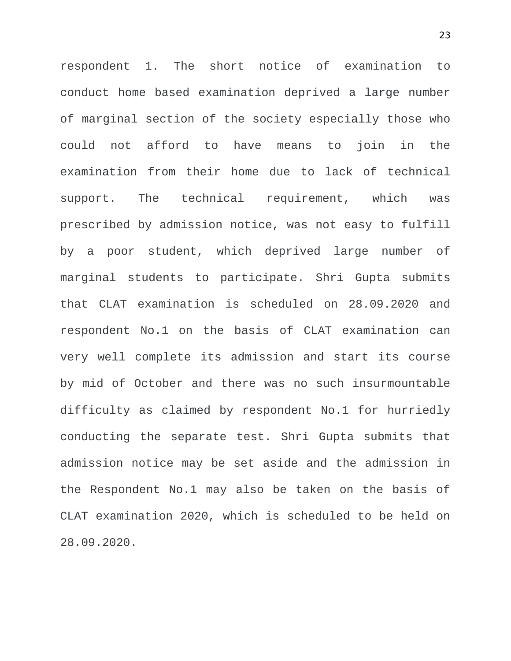respondent 1. The short notice of examination to conduct home based examination deprived a large number of marginal section of the society especially those who could not afford to have means to join in the examination from their home due to lack of technical support. The technical requirement, which was prescribed by admission notice, was not easy to fulfill by a poor student, which deprived large number of marginal students to participate. Shri Gupta submits that CLAT examination is scheduled on 28.09.2020 and respondent No.1 on the basis of CLAT examination can very well complete its admission and start its course by mid of October and there was no such insurmountable difficulty as claimed by respondent No.1 for hurriedly conducting the separate test. Shri Gupta submits that admission notice may be set aside and the admission in the Respondent No.1 may also be taken on the basis of CLAT examination 2020, which is scheduled to be held on 28.09.2020.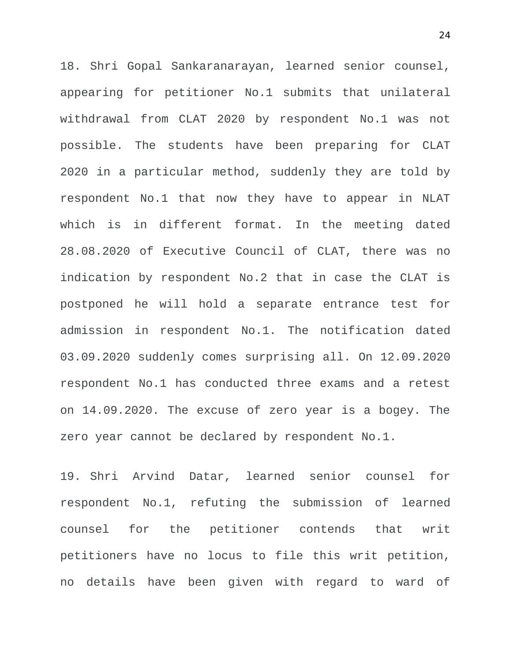18. Shri Gopal Sankaranarayan, learned senior counsel, appearing for petitioner No.1 submits that unilateral withdrawal from CLAT 2020 by respondent No.1 was not possible. The students have been preparing for CLAT 2020 in a particular method, suddenly they are told by respondent No.1 that now they have to appear in NLAT which is in different format. In the meeting dated 28.08.2020 of Executive Council of CLAT, there was no indication by respondent No.2 that in case the CLAT is postponed he will hold a separate entrance test for admission in respondent No.1. The notification dated 03.09.2020 suddenly comes surprising all. On 12.09.2020 respondent No.1 has conducted three exams and a retest on 14.09.2020. The excuse of zero year is a bogey. The zero year cannot be declared by respondent No.1.

19. Shri Arvind Datar, learned senior counsel for respondent No.1, refuting the submission of learned counsel for the petitioner contends that writ petitioners have no locus to file this writ petition, no details have been given with regard to ward of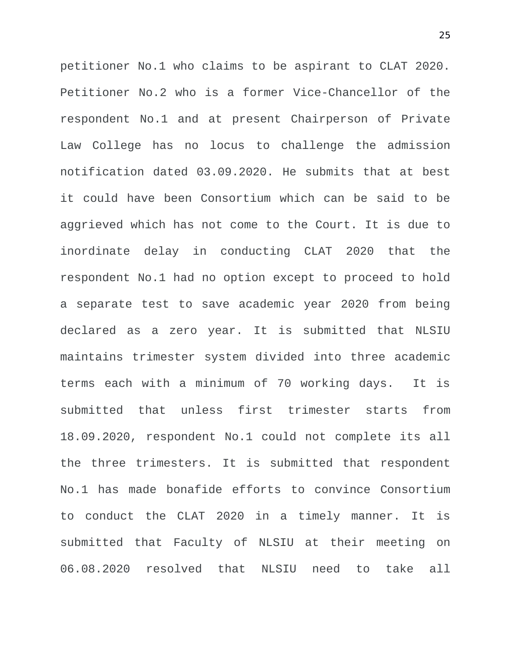petitioner No.1 who claims to be aspirant to CLAT 2020. Petitioner No.2 who is a former Vice-Chancellor of the respondent No.1 and at present Chairperson of Private Law College has no locus to challenge the admission notification dated 03.09.2020. He submits that at best it could have been Consortium which can be said to be aggrieved which has not come to the Court. It is due to inordinate delay in conducting CLAT 2020 that the respondent No.1 had no option except to proceed to hold a separate test to save academic year 2020 from being declared as a zero year. It is submitted that NLSIU maintains trimester system divided into three academic terms each with a minimum of 70 working days. It is submitted that unless first trimester starts from 18.09.2020, respondent No.1 could not complete its all the three trimesters. It is submitted that respondent No.1 has made bonafide efforts to convince Consortium to conduct the CLAT 2020 in a timely manner. It is submitted that Faculty of NLSIU at their meeting on 06.08.2020 resolved that NLSIU need to take all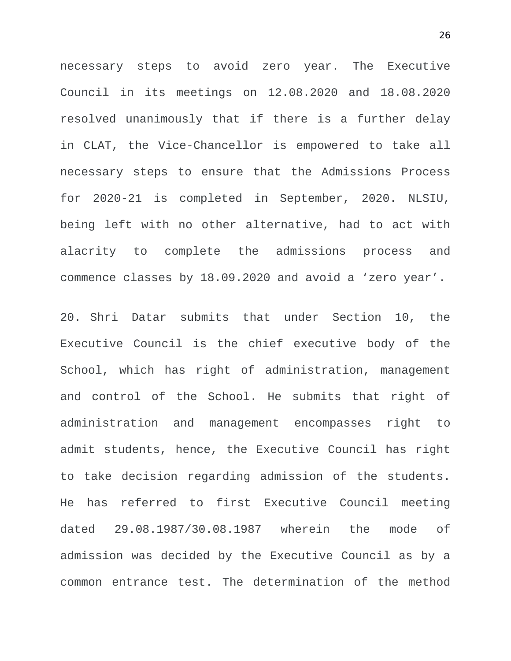necessary steps to avoid zero year. The Executive Council in its meetings on 12.08.2020 and 18.08.2020 resolved unanimously that if there is a further delay in CLAT, the Vice-Chancellor is empowered to take all necessary steps to ensure that the Admissions Process for 2020-21 is completed in September, 2020. NLSIU, being left with no other alternative, had to act with alacrity to complete the admissions process and commence classes by 18.09.2020 and avoid a 'zero year'.

20. Shri Datar submits that under Section 10, the Executive Council is the chief executive body of the School, which has right of administration, management and control of the School. He submits that right of administration and management encompasses right to admit students, hence, the Executive Council has right to take decision regarding admission of the students. He has referred to first Executive Council meeting dated 29.08.1987/30.08.1987 wherein the mode of admission was decided by the Executive Council as by a common entrance test. The determination of the method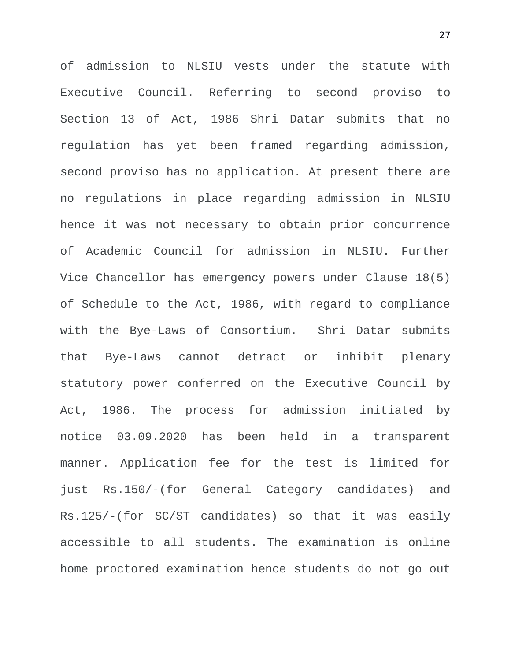of admission to NLSIU vests under the statute with Executive Council. Referring to second proviso to Section 13 of Act, 1986 Shri Datar submits that no regulation has yet been framed regarding admission, second proviso has no application. At present there are no regulations in place regarding admission in NLSIU hence it was not necessary to obtain prior concurrence of Academic Council for admission in NLSIU. Further Vice Chancellor has emergency powers under Clause 18(5) of Schedule to the Act, 1986, with regard to compliance with the Bye-Laws of Consortium. Shri Datar submits that Bye-Laws cannot detract or inhibit plenary statutory power conferred on the Executive Council by Act, 1986. The process for admission initiated by notice 03.09.2020 has been held in a transparent manner. Application fee for the test is limited for just Rs.150/-(for General Category candidates) and Rs.125/-(for SC/ST candidates) so that it was easily accessible to all students. The examination is online home proctored examination hence students do not go out

27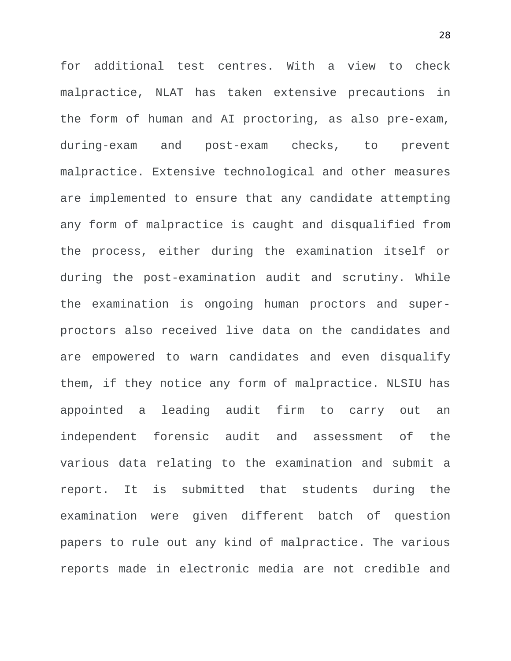for additional test centres. With a view to check malpractice, NLAT has taken extensive precautions in the form of human and AI proctoring, as also pre-exam, during-exam and post-exam checks, to prevent malpractice. Extensive technological and other measures are implemented to ensure that any candidate attempting any form of malpractice is caught and disqualified from the process, either during the examination itself or during the post-examination audit and scrutiny. While the examination is ongoing human proctors and superproctors also received live data on the candidates and are empowered to warn candidates and even disqualify them, if they notice any form of malpractice. NLSIU has appointed a leading audit firm to carry out an independent forensic audit and assessment of the various data relating to the examination and submit a report. It is submitted that students during the examination were given different batch of question papers to rule out any kind of malpractice. The various reports made in electronic media are not credible and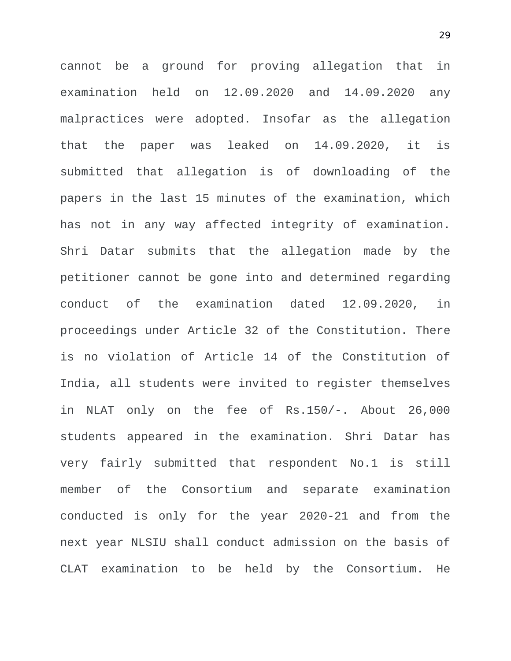cannot be a ground for proving allegation that in examination held on 12.09.2020 and 14.09.2020 any malpractices were adopted. Insofar as the allegation that the paper was leaked on 14.09.2020, it is submitted that allegation is of downloading of the papers in the last 15 minutes of the examination, which has not in any way affected integrity of examination. Shri Datar submits that the allegation made by the petitioner cannot be gone into and determined regarding conduct of the examination dated 12.09.2020, in proceedings under Article 32 of the Constitution. There is no violation of Article 14 of the Constitution of India, all students were invited to register themselves in NLAT only on the fee of Rs.150/-. About 26,000 students appeared in the examination. Shri Datar has very fairly submitted that respondent No.1 is still member of the Consortium and separate examination conducted is only for the year 2020-21 and from the next year NLSIU shall conduct admission on the basis of CLAT examination to be held by the Consortium. He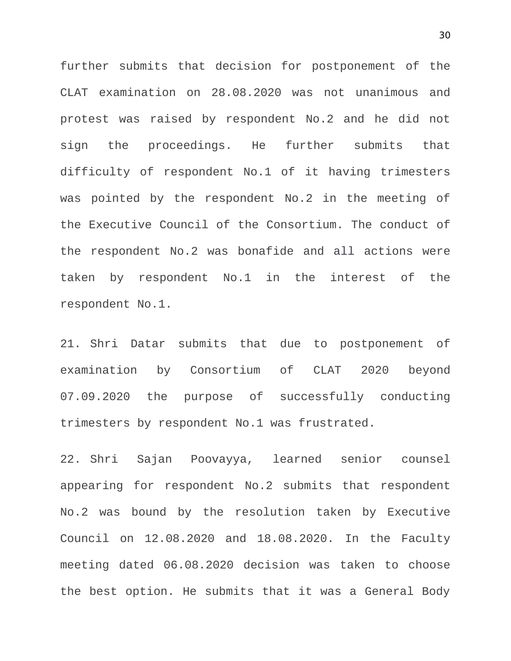further submits that decision for postponement of the CLAT examination on 28.08.2020 was not unanimous and protest was raised by respondent No.2 and he did not sign the proceedings. He further submits that difficulty of respondent No.1 of it having trimesters was pointed by the respondent No.2 in the meeting of the Executive Council of the Consortium. The conduct of the respondent No.2 was bonafide and all actions were taken by respondent No.1 in the interest of the respondent No.1.

21. Shri Datar submits that due to postponement of examination by Consortium of CLAT 2020 beyond 07.09.2020 the purpose of successfully conducting trimesters by respondent No.1 was frustrated.

22. Shri Sajan Poovayya, learned senior counsel appearing for respondent No.2 submits that respondent No.2 was bound by the resolution taken by Executive Council on 12.08.2020 and 18.08.2020. In the Faculty meeting dated 06.08.2020 decision was taken to choose the best option. He submits that it was a General Body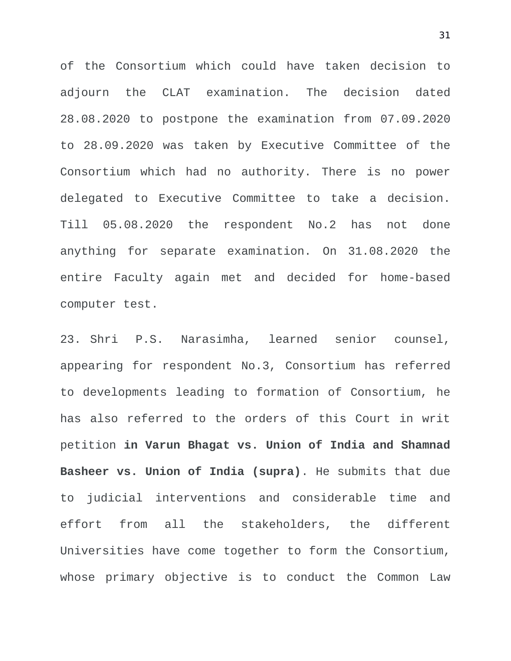of the Consortium which could have taken decision to adjourn the CLAT examination. The decision dated 28.08.2020 to postpone the examination from 07.09.2020 to 28.09.2020 was taken by Executive Committee of the Consortium which had no authority. There is no power delegated to Executive Committee to take a decision. Till 05.08.2020 the respondent No.2 has not done anything for separate examination. On 31.08.2020 the entire Faculty again met and decided for home-based computer test.

23. Shri P.S. Narasimha, learned senior counsel, appearing for respondent No.3, Consortium has referred to developments leading to formation of Consortium, he has also referred to the orders of this Court in writ petition **in Varun Bhagat vs. Union of India and Shamnad Basheer vs. Union of India (supra)**. He submits that due to judicial interventions and considerable time and effort from all the stakeholders, the different Universities have come together to form the Consortium, whose primary objective is to conduct the Common Law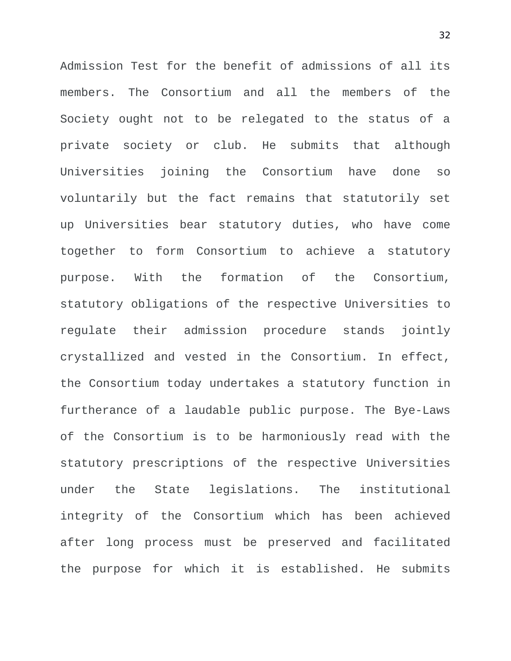Admission Test for the benefit of admissions of all its members. The Consortium and all the members of the Society ought not to be relegated to the status of a private society or club. He submits that although Universities joining the Consortium have done so voluntarily but the fact remains that statutorily set up Universities bear statutory duties, who have come together to form Consortium to achieve a statutory purpose. With the formation of the Consortium, statutory obligations of the respective Universities to regulate their admission procedure stands jointly crystallized and vested in the Consortium. In effect, the Consortium today undertakes a statutory function in furtherance of a laudable public purpose. The Bye-Laws of the Consortium is to be harmoniously read with the statutory prescriptions of the respective Universities under the State legislations. The institutional integrity of the Consortium which has been achieved after long process must be preserved and facilitated the purpose for which it is established. He submits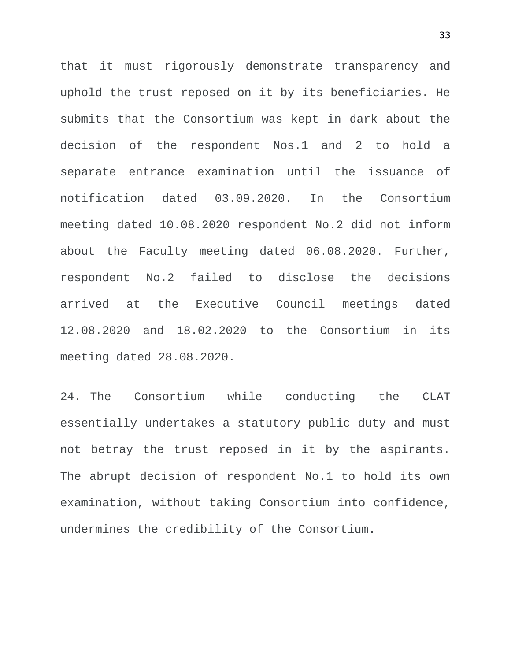that it must rigorously demonstrate transparency and uphold the trust reposed on it by its beneficiaries. He submits that the Consortium was kept in dark about the decision of the respondent Nos.1 and 2 to hold a separate entrance examination until the issuance of notification dated 03.09.2020. In the Consortium meeting dated 10.08.2020 respondent No.2 did not inform about the Faculty meeting dated 06.08.2020. Further, respondent No.2 failed to disclose the decisions arrived at the Executive Council meetings dated 12.08.2020 and 18.02.2020 to the Consortium in its meeting dated 28.08.2020.

24. The Consortium while conducting the CLAT essentially undertakes a statutory public duty and must not betray the trust reposed in it by the aspirants. The abrupt decision of respondent No.1 to hold its own examination, without taking Consortium into confidence, undermines the credibility of the Consortium.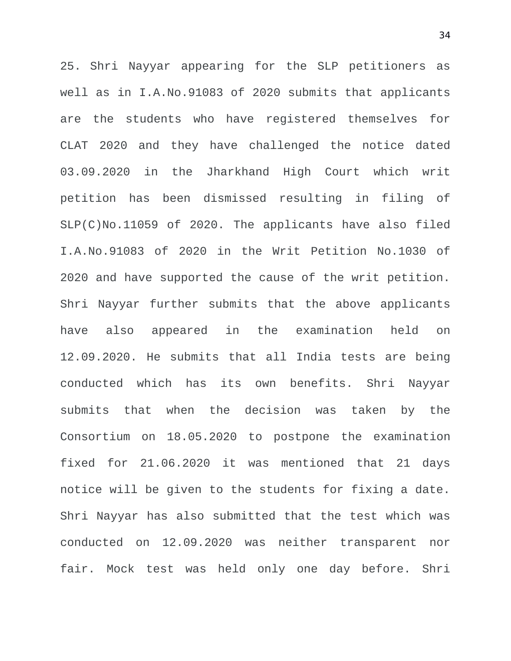25. Shri Nayyar appearing for the SLP petitioners as well as in I.A.No.91083 of 2020 submits that applicants are the students who have registered themselves for CLAT 2020 and they have challenged the notice dated 03.09.2020 in the Jharkhand High Court which writ petition has been dismissed resulting in filing of SLP(C)No.11059 of 2020. The applicants have also filed I.A.No.91083 of 2020 in the Writ Petition No.1030 of 2020 and have supported the cause of the writ petition. Shri Nayyar further submits that the above applicants have also appeared in the examination held on 12.09.2020. He submits that all India tests are being conducted which has its own benefits. Shri Nayyar submits that when the decision was taken by the Consortium on 18.05.2020 to postpone the examination fixed for 21.06.2020 it was mentioned that 21 days notice will be given to the students for fixing a date. Shri Nayyar has also submitted that the test which was conducted on 12.09.2020 was neither transparent nor fair. Mock test was held only one day before. Shri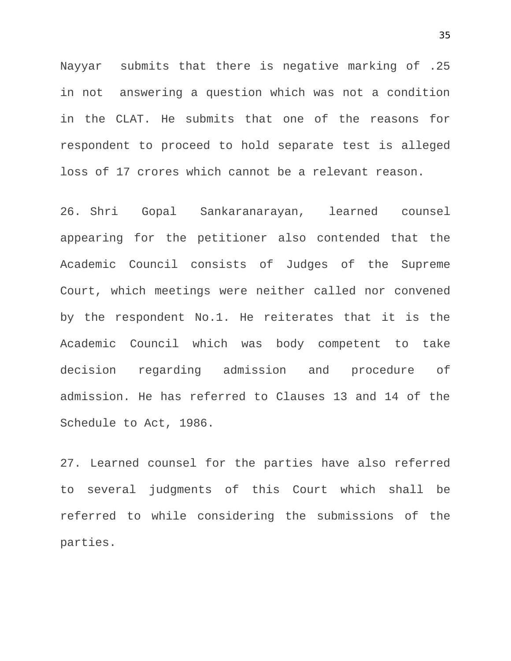Nayyar submits that there is negative marking of .25 in not answering a question which was not a condition in the CLAT. He submits that one of the reasons for respondent to proceed to hold separate test is alleged loss of 17 crores which cannot be a relevant reason.

26. Shri Gopal Sankaranarayan, learned counsel appearing for the petitioner also contended that the Academic Council consists of Judges of the Supreme Court, which meetings were neither called nor convened by the respondent No.1. He reiterates that it is the Academic Council which was body competent to take decision regarding admission and procedure of admission. He has referred to Clauses 13 and 14 of the Schedule to Act, 1986.

27. Learned counsel for the parties have also referred to several judgments of this Court which shall be referred to while considering the submissions of the parties.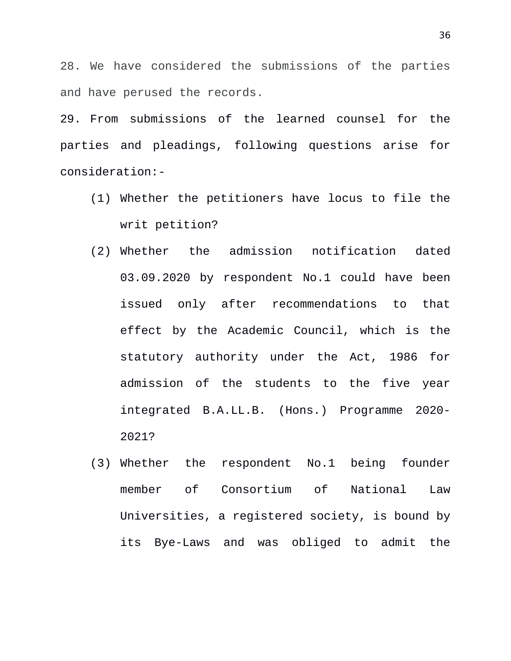28. We have considered the submissions of the parties and have perused the records.

29. From submissions of the learned counsel for the parties and pleadings, following questions arise for consideration:-

- (1) Whether the petitioners have locus to file the writ petition?
- (2) Whether the admission notification dated 03.09.2020 by respondent No.1 could have been issued only after recommendations to that effect by the Academic Council, which is the statutory authority under the Act, 1986 for admission of the students to the five year integrated B.A.LL.B. (Hons.) Programme 2020- 2021?
- (3) Whether the respondent No.1 being founder member of Consortium of National Law Universities, a registered society, is bound by its Bye-Laws and was obliged to admit the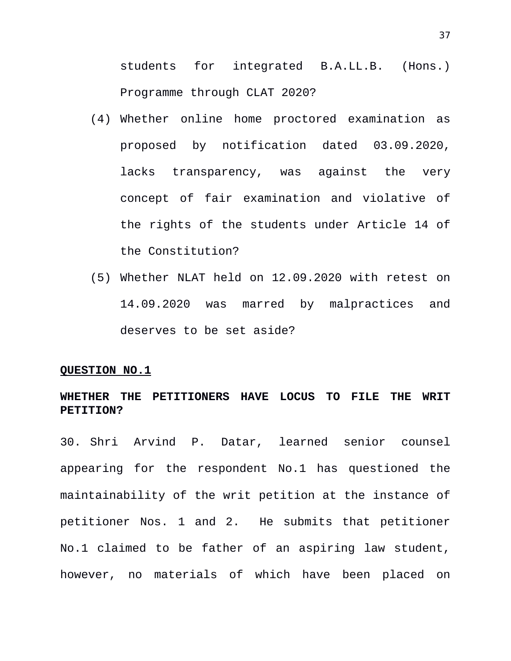students for integrated B.A.LL.B. (Hons.) Programme through CLAT 2020?

- (4) Whether online home proctored examination as proposed by notification dated 03.09.2020, lacks transparency, was against the very concept of fair examination and violative of the rights of the students under Article 14 of the Constitution?
- (5) Whether NLAT held on 12.09.2020 with retest on 14.09.2020 was marred by malpractices and deserves to be set aside?

#### **QUESTION NO.1**

## **WHETHER THE PETITIONERS HAVE LOCUS TO FILE THE WRIT PETITION?**

30. Shri Arvind P. Datar, learned senior counsel appearing for the respondent No.1 has questioned the maintainability of the writ petition at the instance of petitioner Nos. 1 and 2. He submits that petitioner No.1 claimed to be father of an aspiring law student, however, no materials of which have been placed on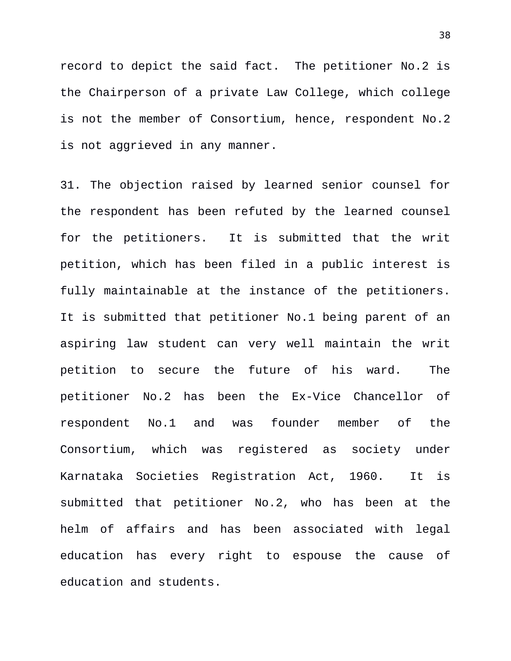record to depict the said fact. The petitioner No.2 is the Chairperson of a private Law College, which college is not the member of Consortium, hence, respondent No.2 is not aggrieved in any manner.

31. The objection raised by learned senior counsel for the respondent has been refuted by the learned counsel for the petitioners. It is submitted that the writ petition, which has been filed in a public interest is fully maintainable at the instance of the petitioners. It is submitted that petitioner No.1 being parent of an aspiring law student can very well maintain the writ petition to secure the future of his ward. The petitioner No.2 has been the Ex-Vice Chancellor of respondent No.1 and was founder member of the Consortium, which was registered as society under Karnataka Societies Registration Act, 1960. It is submitted that petitioner No.2, who has been at the helm of affairs and has been associated with legal education has every right to espouse the cause of education and students.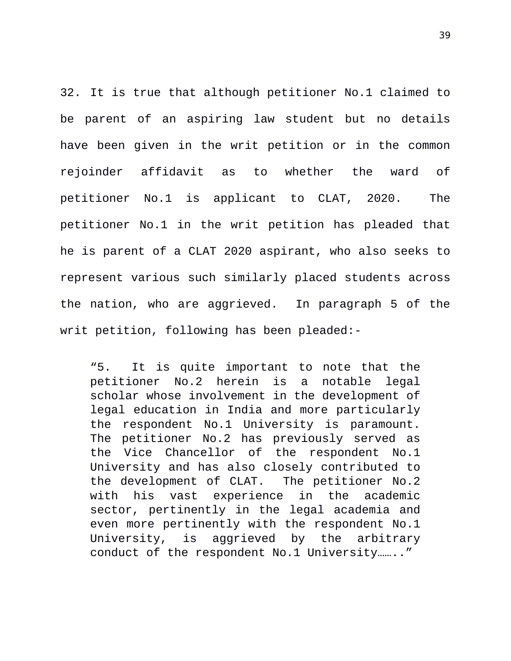32. It is true that although petitioner No.1 claimed to be parent of an aspiring law student but no details have been given in the writ petition or in the common rejoinder affidavit as to whether the ward of petitioner No.1 is applicant to CLAT, 2020. The petitioner No.1 in the writ petition has pleaded that he is parent of a CLAT 2020 aspirant, who also seeks to represent various such similarly placed students across the nation, who are aggrieved. In paragraph 5 of the writ petition, following has been pleaded:-

"5. It is quite important to note that the petitioner No.2 herein is a notable legal scholar whose involvement in the development of legal education in India and more particularly the respondent No.1 University is paramount. The petitioner No.2 has previously served as the Vice Chancellor of the respondent No.1 University and has also closely contributed to the development of CLAT. The petitioner No.2 with his vast experience in the academic sector, pertinently in the legal academia and even more pertinently with the respondent No.1 University, is aggrieved by the arbitrary conduct of the respondent No.1 University…….."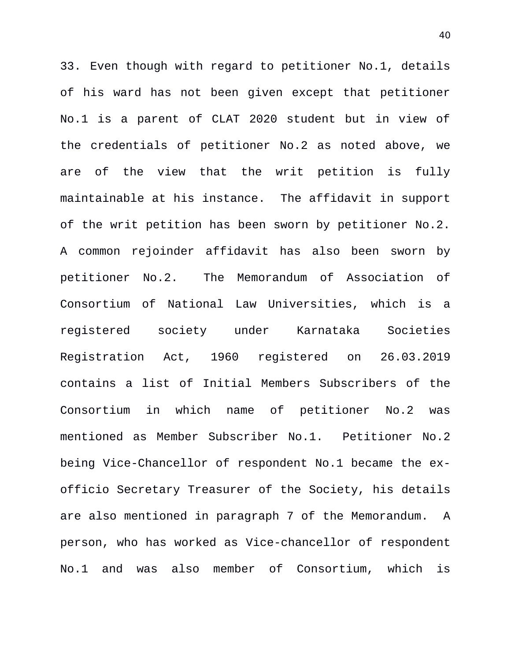33. Even though with regard to petitioner No.1, details of his ward has not been given except that petitioner No.1 is a parent of CLAT 2020 student but in view of the credentials of petitioner No.2 as noted above, we are of the view that the writ petition is fully maintainable at his instance. The affidavit in support of the writ petition has been sworn by petitioner No.2. A common rejoinder affidavit has also been sworn by petitioner No.2. The Memorandum of Association of Consortium of National Law Universities, which is a registered society under Karnataka Societies Registration Act, 1960 registered on 26.03.2019 contains a list of Initial Members Subscribers of the Consortium in which name of petitioner No.2 was mentioned as Member Subscriber No.1. Petitioner No.2 being Vice-Chancellor of respondent No.1 became the exofficio Secretary Treasurer of the Society, his details are also mentioned in paragraph 7 of the Memorandum. A person, who has worked as Vice-chancellor of respondent No.1 and was also member of Consortium, which is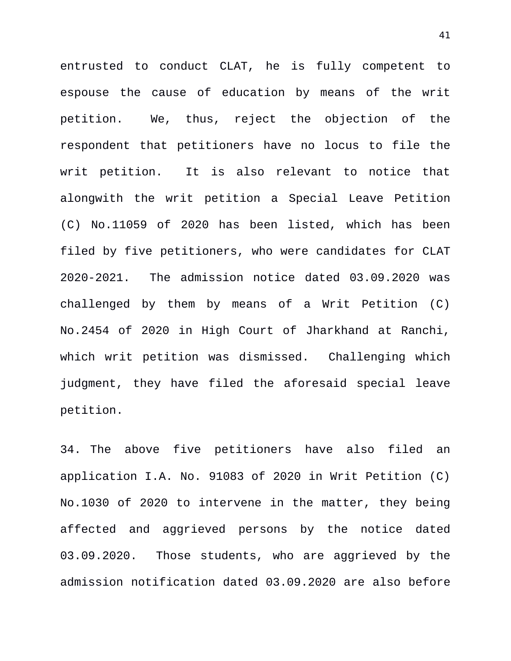entrusted to conduct CLAT, he is fully competent to espouse the cause of education by means of the writ petition. We, thus, reject the objection of the respondent that petitioners have no locus to file the writ petition. It is also relevant to notice that alongwith the writ petition a Special Leave Petition (C) No.11059 of 2020 has been listed, which has been filed by five petitioners, who were candidates for CLAT 2020-2021. The admission notice dated 03.09.2020 was challenged by them by means of a Writ Petition (C) No.2454 of 2020 in High Court of Jharkhand at Ranchi, which writ petition was dismissed. Challenging which judgment, they have filed the aforesaid special leave petition.

34. The above five petitioners have also filed an application I.A. No. 91083 of 2020 in Writ Petition (C) No.1030 of 2020 to intervene in the matter, they being affected and aggrieved persons by the notice dated 03.09.2020. Those students, who are aggrieved by the admission notification dated 03.09.2020 are also before

41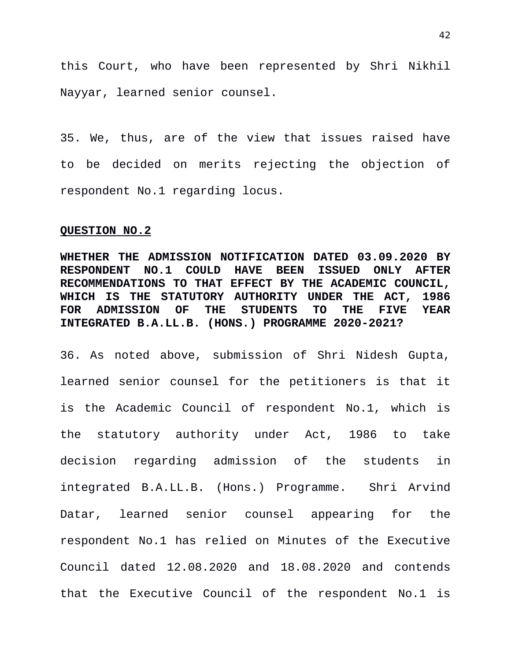this Court, who have been represented by Shri Nikhil Nayyar, learned senior counsel.

35. We, thus, are of the view that issues raised have to be decided on merits rejecting the objection of respondent No.1 regarding locus.

#### **QUESTION NO.2**

**WHETHER THE ADMISSION NOTIFICATION DATED 03.09.2020 BY RESPONDENT NO.1 COULD HAVE BEEN ISSUED ONLY AFTER RECOMMENDATIONS TO THAT EFFECT BY THE ACADEMIC COUNCIL, WHICH IS THE STATUTORY AUTHORITY UNDER THE ACT, 1986 FOR ADMISSION OF THE STUDENTS TO THE FIVE YEAR INTEGRATED B.A.LL.B. (HONS.) PROGRAMME 2020-2021?**

36. As noted above, submission of Shri Nidesh Gupta, learned senior counsel for the petitioners is that it is the Academic Council of respondent No.1, which is the statutory authority under Act, 1986 to take decision regarding admission of the students in integrated B.A.LL.B. (Hons.) Programme. Shri Arvind Datar, learned senior counsel appearing for the respondent No.1 has relied on Minutes of the Executive Council dated 12.08.2020 and 18.08.2020 and contends that the Executive Council of the respondent No.1 is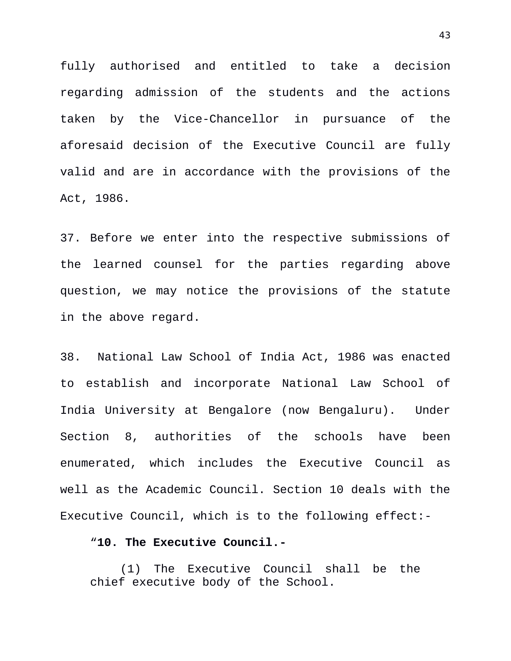fully authorised and entitled to take a decision regarding admission of the students and the actions taken by the Vice-Chancellor in pursuance of the aforesaid decision of the Executive Council are fully valid and are in accordance with the provisions of the Act, 1986.

37. Before we enter into the respective submissions of the learned counsel for the parties regarding above question, we may notice the provisions of the statute in the above regard.

38. National Law School of India Act, 1986 was enacted to establish and incorporate National Law School of India University at Bengalore (now Bengaluru). Under Section 8, authorities of the schools have been enumerated, which includes the Executive Council as well as the Academic Council. Section 10 deals with the Executive Council, which is to the following effect:-

### "**10. The Executive Council.-**

(1) The Executive Council shall be the chief executive body of the School.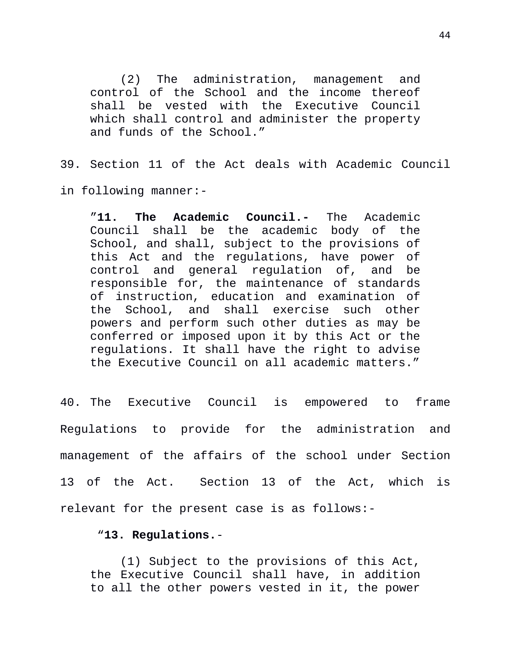(2) The administration, management and control of the School and the income thereof shall be vested with the Executive Council which shall control and administer the property and funds of the School."

39. Section 11 of the Act deals with Academic Council in following manner:-

"**11. The Academic Council.-** The Academic Council shall be the academic body of the School, and shall, subject to the provisions of this Act and the regulations, have power of control and general regulation of, and be responsible for, the maintenance of standards of instruction, education and examination of the School, and shall exercise such other powers and perform such other duties as may be conferred or imposed upon it by this Act or the regulations. It shall have the right to advise the Executive Council on all academic matters."

40. The Executive Council is empowered to frame Regulations to provide for the administration and management of the affairs of the school under Section 13 of the Act. Section 13 of the Act, which is relevant for the present case is as follows:-

## "**13. Regulations.**-

(1) Subject to the provisions of this Act, the Executive Council shall have, in addition to all the other powers vested in it, the power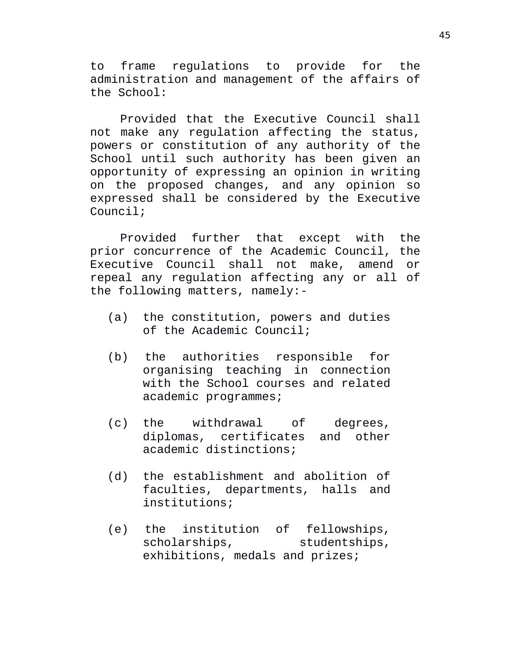to frame regulations to provide for the administration and management of the affairs of the School:

Provided that the Executive Council shall not make any regulation affecting the status, powers or constitution of any authority of the School until such authority has been given an opportunity of expressing an opinion in writing on the proposed changes, and any opinion so expressed shall be considered by the Executive Council;

Provided further that except with the prior concurrence of the Academic Council, the Executive Council shall not make, amend or repeal any regulation affecting any or all of the following matters, namely:-

- (a) the constitution, powers and duties of the Academic Council;
- (b) the authorities responsible for organising teaching in connection with the School courses and related academic programmes;
- (c) the withdrawal of degrees, diplomas, certificates and other academic distinctions;
- (d) the establishment and abolition of faculties, departments, halls and institutions;
- (e) the institution of fellowships, scholarships, studentships, exhibitions, medals and prizes;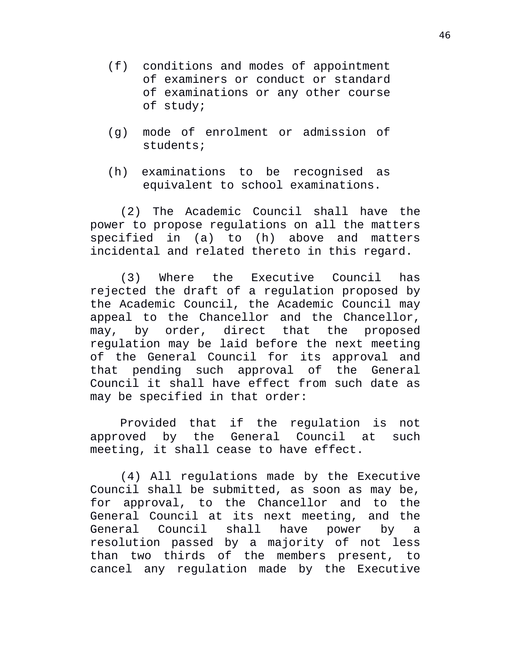- (f) conditions and modes of appointment of examiners or conduct or standard of examinations or any other course of study;
- (g) mode of enrolment or admission of students;
- (h) examinations to be recognised as equivalent to school examinations.

(2) The Academic Council shall have the power to propose regulations on all the matters specified in (a) to (h) above and matters incidental and related thereto in this regard.

(3) Where the Executive Council has rejected the draft of a regulation proposed by the Academic Council, the Academic Council may appeal to the Chancellor and the Chancellor, may, by order, direct that the proposed regulation may be laid before the next meeting of the General Council for its approval and that pending such approval of the General Council it shall have effect from such date as may be specified in that order:

Provided that if the regulation is not approved by the General Council at such meeting, it shall cease to have effect.

(4) All regulations made by the Executive Council shall be submitted, as soon as may be, for approval, to the Chancellor and to the General Council at its next meeting, and the General Council shall have power by a resolution passed by a majority of not less than two thirds of the members present, to cancel any regulation made by the Executive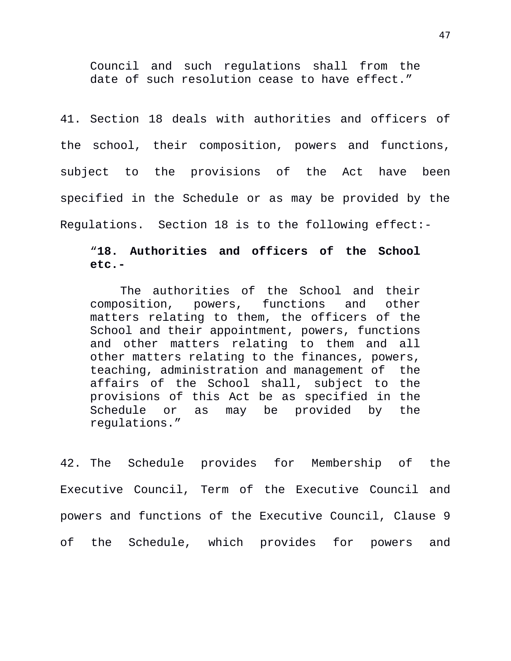Council and such regulations shall from the date of such resolution cease to have effect."

41. Section 18 deals with authorities and officers of the school, their composition, powers and functions, subject to the provisions of the Act have been specified in the Schedule or as may be provided by the Regulations. Section 18 is to the following effect:-

# "**18. Authorities and officers of the School etc.-**

The authorities of the School and their composition, powers, functions and other matters relating to them, the officers of the School and their appointment, powers, functions and other matters relating to them and all other matters relating to the finances, powers, teaching, administration and management of the affairs of the School shall, subject to the provisions of this Act be as specified in the Schedule or as may be provided by the regulations."

42. The Schedule provides for Membership of the Executive Council, Term of the Executive Council and powers and functions of the Executive Council, Clause 9 of the Schedule, which provides for powers and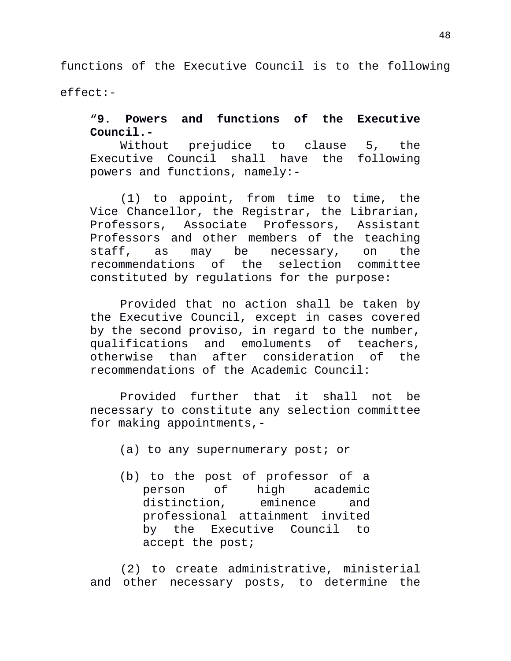functions of the Executive Council is to the following effect:-

# "**9. Powers and functions of the Executive Council.-**

Without prejudice to clause 5, the Executive Council shall have the following powers and functions, namely:-

(1) to appoint, from time to time, the Vice Chancellor, the Registrar, the Librarian, Professors, Associate Professors, Assistant Professors and other members of the teaching staff, as may be necessary, on the recommendations of the selection committee constituted by regulations for the purpose:

Provided that no action shall be taken by the Executive Council, except in cases covered by the second proviso, in regard to the number, qualifications and emoluments of teachers, otherwise than after consideration of the recommendations of the Academic Council:

Provided further that it shall not be necessary to constitute any selection committee for making appointments,-

(a) to any supernumerary post; or

(b) to the post of professor of a person of high academic distinction, eminence and professional attainment invited by the Executive Council to accept the post;

(2) to create administrative, ministerial and other necessary posts, to determine the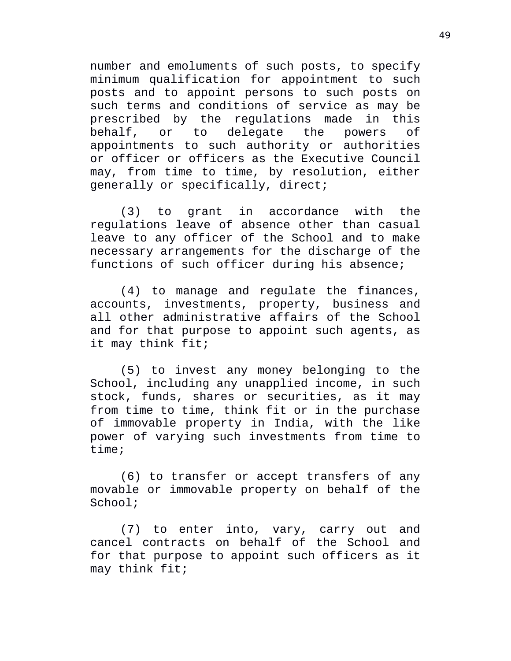number and emoluments of such posts, to specify minimum qualification for appointment to such posts and to appoint persons to such posts on such terms and conditions of service as may be prescribed by the regulations made in this behalf, or to delegate the powers of appointments to such authority or authorities or officer or officers as the Executive Council may, from time to time, by resolution, either generally or specifically, direct;

(3) to grant in accordance with the regulations leave of absence other than casual leave to any officer of the School and to make necessary arrangements for the discharge of the functions of such officer during his absence;

(4) to manage and regulate the finances, accounts, investments, property, business and all other administrative affairs of the School and for that purpose to appoint such agents, as it may think fit;

(5) to invest any money belonging to the School, including any unapplied income, in such stock, funds, shares or securities, as it may from time to time, think fit or in the purchase of immovable property in India, with the like power of varying such investments from time to time;

(6) to transfer or accept transfers of any movable or immovable property on behalf of the School;

(7) to enter into, vary, carry out and cancel contracts on behalf of the School and for that purpose to appoint such officers as it may think fit;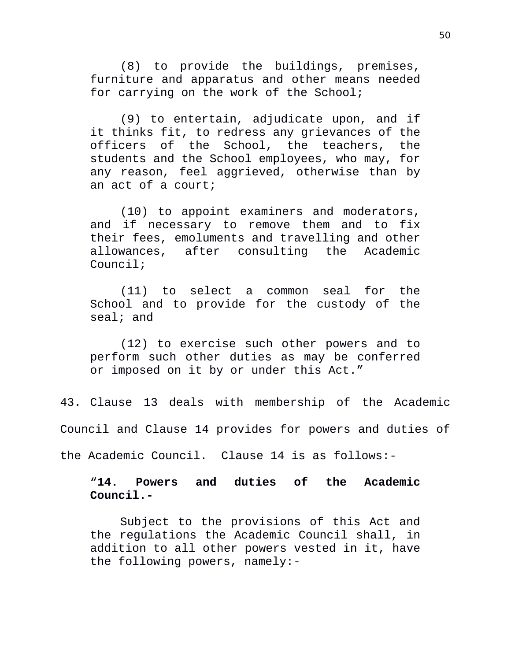(8) to provide the buildings, premises, furniture and apparatus and other means needed for carrying on the work of the School;

(9) to entertain, adjudicate upon, and if it thinks fit, to redress any grievances of the officers of the School, the teachers, the students and the School employees, who may, for any reason, feel aggrieved, otherwise than by an act of a court;

(10) to appoint examiners and moderators, and if necessary to remove them and to fix their fees, emoluments and travelling and other allowances, after consulting the Academic Council;

(11) to select a common seal for the School and to provide for the custody of the seal; and

(12) to exercise such other powers and to perform such other duties as may be conferred or imposed on it by or under this Act."

43. Clause 13 deals with membership of the Academic

Council and Clause 14 provides for powers and duties of

the Academic Council. Clause 14 is as follows:-

"**14. Powers and duties of the Academic Council.-** 

Subject to the provisions of this Act and the regulations the Academic Council shall, in addition to all other powers vested in it, have the following powers, namely:-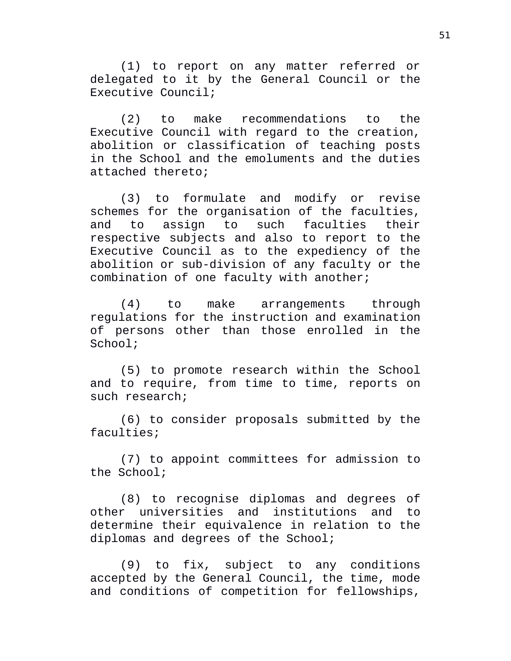(1) to report on any matter referred or delegated to it by the General Council or the Executive Council;

(2) to make recommendations to the Executive Council with regard to the creation, abolition or classification of teaching posts in the School and the emoluments and the duties attached thereto;

(3) to formulate and modify or revise schemes for the organisation of the faculties, and to assign to such faculties their respective subjects and also to report to the Executive Council as to the expediency of the abolition or sub-division of any faculty or the combination of one faculty with another;

(4) to make arrangements through regulations for the instruction and examination of persons other than those enrolled in the School;

(5) to promote research within the School and to require, from time to time, reports on such research;

(6) to consider proposals submitted by the faculties;

(7) to appoint committees for admission to the School;

(8) to recognise diplomas and degrees of other universities and institutions and to determine their equivalence in relation to the diplomas and degrees of the School;

(9) to fix, subject to any conditions accepted by the General Council, the time, mode and conditions of competition for fellowships,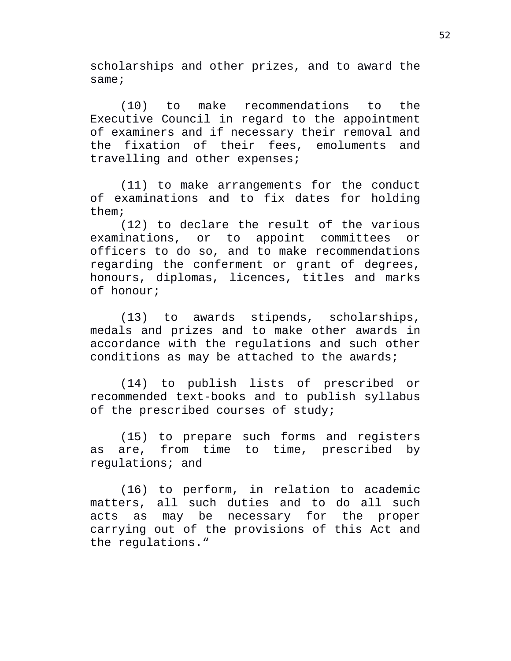scholarships and other prizes, and to award the same;

(10) to make recommendations to the Executive Council in regard to the appointment of examiners and if necessary their removal and the fixation of their fees, emoluments and travelling and other expenses;

(11) to make arrangements for the conduct of examinations and to fix dates for holding them;

(12) to declare the result of the various examinations, or to appoint committees or officers to do so, and to make recommendations regarding the conferment or grant of degrees, honours, diplomas, licences, titles and marks of honour;

(13) to awards stipends, scholarships, medals and prizes and to make other awards in accordance with the regulations and such other conditions as may be attached to the awards;

(14) to publish lists of prescribed or recommended text-books and to publish syllabus of the prescribed courses of study;

(15) to prepare such forms and registers as are, from time to time, prescribed by regulations; and

(16) to perform, in relation to academic matters, all such duties and to do all such acts as may be necessary for the proper carrying out of the provisions of this Act and the regulations."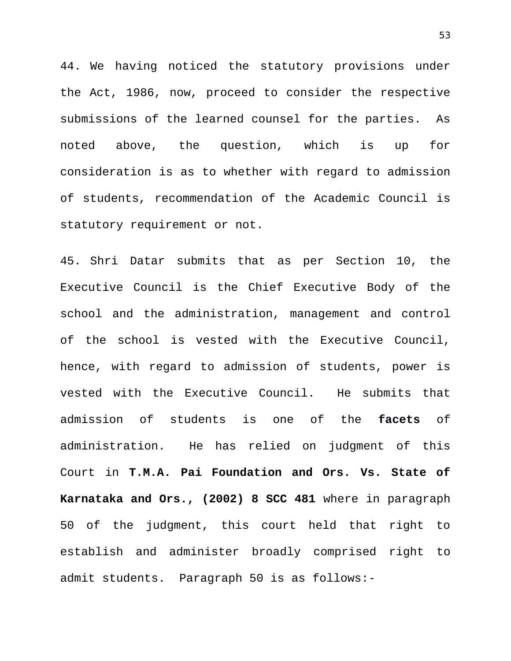44. We having noticed the statutory provisions under the Act, 1986, now, proceed to consider the respective submissions of the learned counsel for the parties. As noted above, the question, which is up for consideration is as to whether with regard to admission of students, recommendation of the Academic Council is statutory requirement or not.

45. Shri Datar submits that as per Section 10, the Executive Council is the Chief Executive Body of the school and the administration, management and control of the school is vested with the Executive Council, hence, with regard to admission of students, power is vested with the Executive Council. He submits that admission of students is one of the **facets** of administration. He has relied on judgment of this Court in **T.M.A. Pai Foundation and Ors. Vs. State of Karnataka and Ors., (2002) 8 SCC 481** where in paragraph 50 of the judgment, this court held that right to establish and administer broadly comprised right to admit students. Paragraph 50 is as follows:-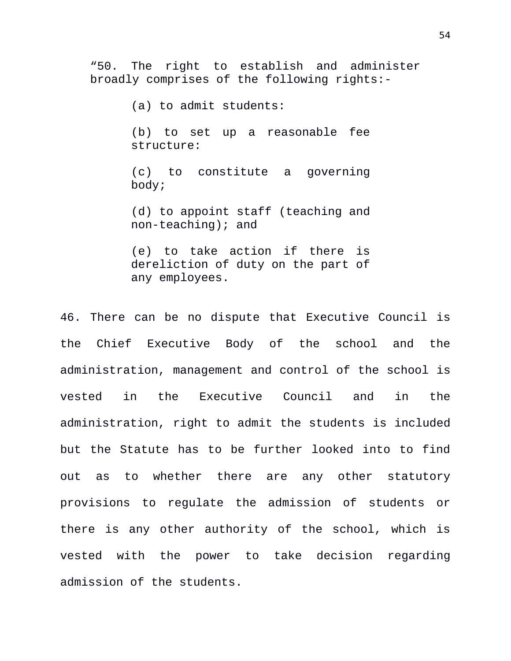"50. The right to establish and administer broadly comprises of the following rights:-

(a) to admit students:

(b) to set up a reasonable fee structure:

(c) to constitute a governing body;

(d) to appoint staff (teaching and non-teaching); and

(e) to take action if there is dereliction of duty on the part of any employees.

46. There can be no dispute that Executive Council is the Chief Executive Body of the school and the administration, management and control of the school is vested in the Executive Council and in the administration, right to admit the students is included but the Statute has to be further looked into to find out as to whether there are any other statutory provisions to regulate the admission of students or there is any other authority of the school, which is vested with the power to take decision regarding admission of the students.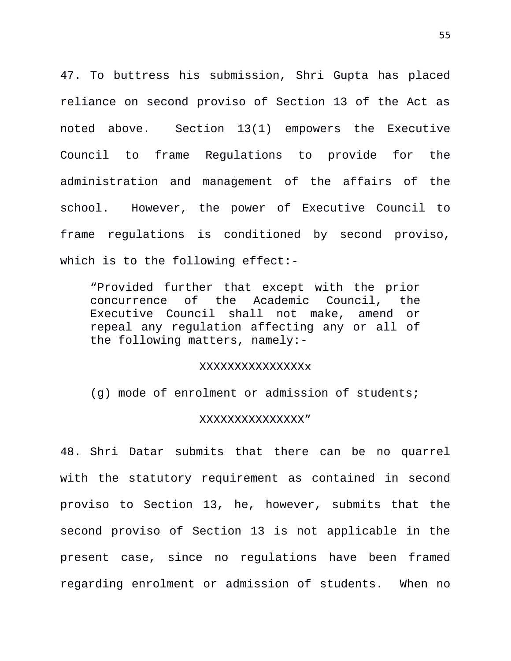47. To buttress his submission, Shri Gupta has placed reliance on second proviso of Section 13 of the Act as noted above. Section 13(1) empowers the Executive Council to frame Regulations to provide for the administration and management of the affairs of the school. However, the power of Executive Council to frame regulations is conditioned by second proviso, which is to the following effect:-

"Provided further that except with the prior concurrence of the Academic Council, the Executive Council shall not make, amend or repeal any regulation affecting any or all of the following matters, namely:-

#### XXXXXXXXXXXXXXXx

(g) mode of enrolment or admission of students;

### XXXXXXXXXXXXXXX"

48. Shri Datar submits that there can be no quarrel with the statutory requirement as contained in second proviso to Section 13, he, however, submits that the second proviso of Section 13 is not applicable in the present case, since no regulations have been framed regarding enrolment or admission of students. When no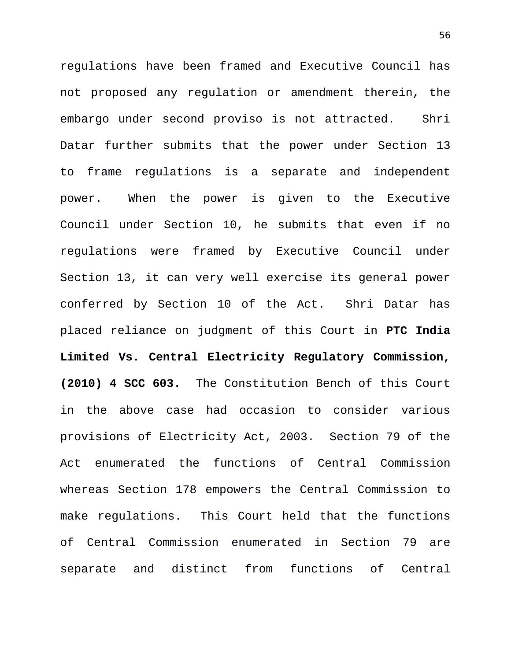regulations have been framed and Executive Council has not proposed any regulation or amendment therein, the embargo under second proviso is not attracted. Shri Datar further submits that the power under Section 13 to frame regulations is a separate and independent power. When the power is given to the Executive Council under Section 10, he submits that even if no regulations were framed by Executive Council under Section 13, it can very well exercise its general power conferred by Section 10 of the Act. Shri Datar has placed reliance on judgment of this Court in **PTC India Limited Vs. Central Electricity Regulatory Commission, (2010) 4 SCC 603.** The Constitution Bench of this Court in the above case had occasion to consider various provisions of Electricity Act, 2003. Section 79 of the Act enumerated the functions of Central Commission whereas Section 178 empowers the Central Commission to make regulations. This Court held that the functions of Central Commission enumerated in Section 79 are separate and distinct from functions of Central

56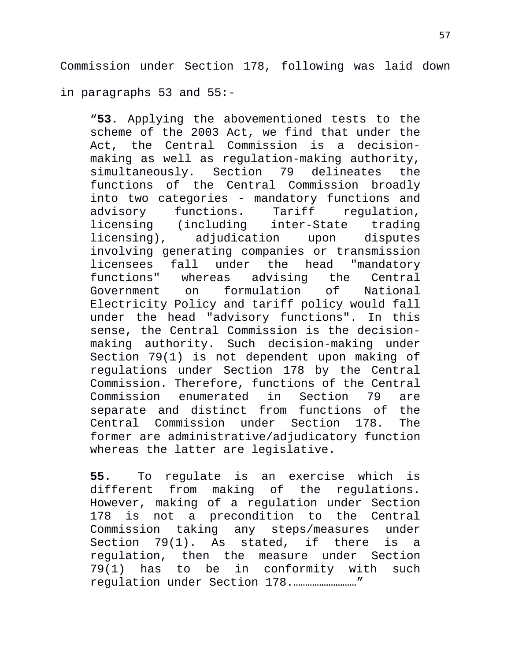Commission under Section 178, following was laid down in paragraphs 53 and 55:-

"**53.** Applying the abovementioned tests to the scheme of the 2003 Act, we find that under the Act, the Central Commission is a decisionmaking as well as regulation-making authority, simultaneously. Section 79 delineates the functions of the Central Commission broadly into two categories - mandatory functions and advisory functions. Tariff regulation, licensing (including inter-State trading<br>licensing), adjudication upon disputes licensing), adjudication upon disputes involving generating companies or transmission licensees fall under the head "mandatory functions" whereas advising the Central Government on formulation of National Electricity Policy and tariff policy would fall under the head "advisory functions". In this sense, the Central Commission is the decisionmaking authority. Such decision-making under Section 79(1) is not dependent upon making of regulations under Section 178 by the Central Commission. Therefore, functions of the Central Commission enumerated in Section 79 are separate and distinct from functions of the<br>Central Commission under Section 178. The Central Commission under Section 178. The former are administrative/adjudicatory function whereas the latter are legislative.

**55.** To regulate is an exercise which is different from making of the regulations. However, making of a regulation under Section 178 is not a precondition to the Central Commission taking any steps/measures under Section 79(1). As stated, if there is a regulation, then the measure under Section 79(1) has to be in conformity with such regulation under Section 178.………………………"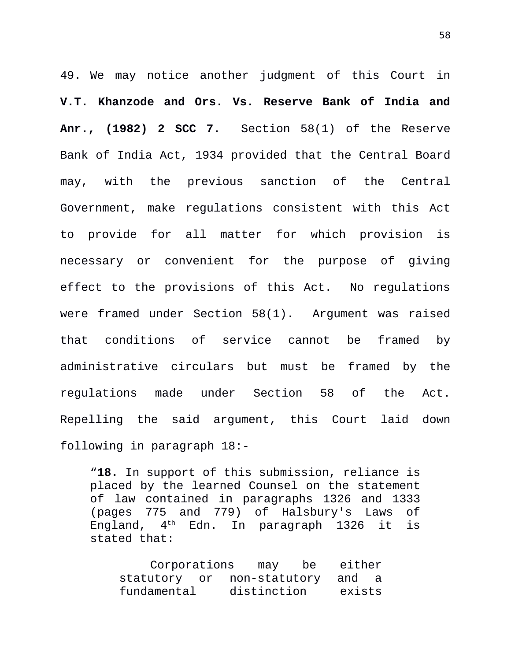49. We may notice another judgment of this Court in **V.T. Khanzode and Ors. Vs. Reserve Bank of India and Anr., (1982) 2 SCC 7.** Section 58(1) of the Reserve Bank of India Act, 1934 provided that the Central Board may, with the previous sanction of the Central Government, make regulations consistent with this Act to provide for all matter for which provision is necessary or convenient for the purpose of giving effect to the provisions of this Act. No regulations were framed under Section 58(1). Argument was raised that conditions of service cannot be framed by administrative circulars but must be framed by the regulations made under Section 58 of the Act. Repelling the said argument, this Court laid down following in paragraph 18:-

"**18.** In support of this submission, reliance is placed by the learned Counsel on the statement of law contained in paragraphs 1326 and 1333 (pages 775 and 779) of Halsbury's Laws of England,  $4<sup>th</sup>$  Edn. In paragraph 1326 it is stated that:

Corporations may be either statutory or non-statutory and a fundamental distinction exists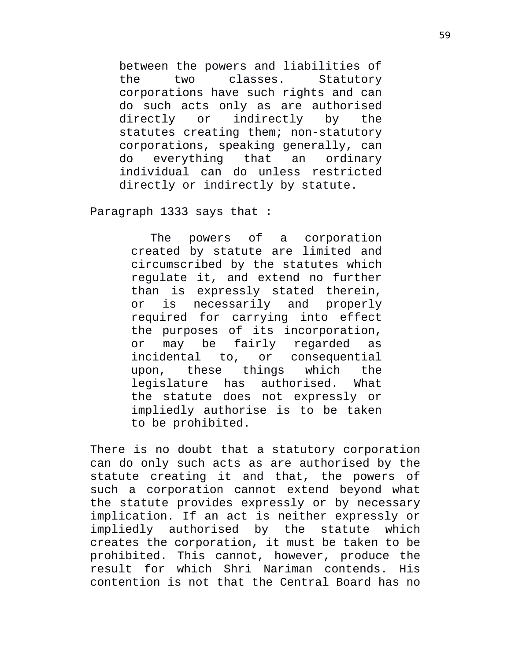between the powers and liabilities of the two classes. Statutory corporations have such rights and can do such acts only as are authorised directly or indirectly by the statutes creating them; non-statutory corporations, speaking generally, can do everything that an ordinary individual can do unless restricted directly or indirectly by statute.

Paragraph 1333 says that :

The powers of a corporation created by statute are limited and circumscribed by the statutes which regulate it, and extend no further than is expressly stated therein, or is necessarily and properly required for carrying into effect the purposes of its incorporation, or may be fairly regarded as incidental to, or consequential upon, these things which the legislature has authorised. What the statute does not expressly or impliedly authorise is to be taken to be prohibited.

There is no doubt that a statutory corporation can do only such acts as are authorised by the statute creating it and that, the powers of such a corporation cannot extend beyond what the statute provides expressly or by necessary implication. If an act is neither expressly or impliedly authorised by the statute which creates the corporation, it must be taken to be prohibited. This cannot, however, produce the result for which Shri Nariman contends. His contention is not that the Central Board has no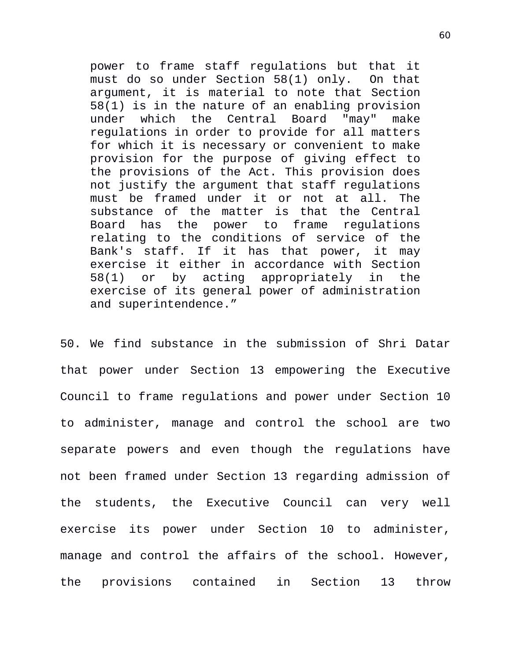power to frame staff regulations but that it must do so under Section 58(1) only. On that argument, it is material to note that Section 58(1) is in the nature of an enabling provision under which the Central Board "may" make regulations in order to provide for all matters for which it is necessary or convenient to make provision for the purpose of giving effect to the provisions of the Act. This provision does not justify the argument that staff regulations must be framed under it or not at all. The substance of the matter is that the Central Board has the power to frame regulations relating to the conditions of service of the Bank's staff. If it has that power, it may exercise it either in accordance with Section 58(1) or by acting appropriately in the exercise of its general power of administration and superintendence."

50. We find substance in the submission of Shri Datar that power under Section 13 empowering the Executive Council to frame regulations and power under Section 10 to administer, manage and control the school are two separate powers and even though the regulations have not been framed under Section 13 regarding admission of the students, the Executive Council can very well exercise its power under Section 10 to administer, manage and control the affairs of the school. However, the provisions contained in Section 13 throw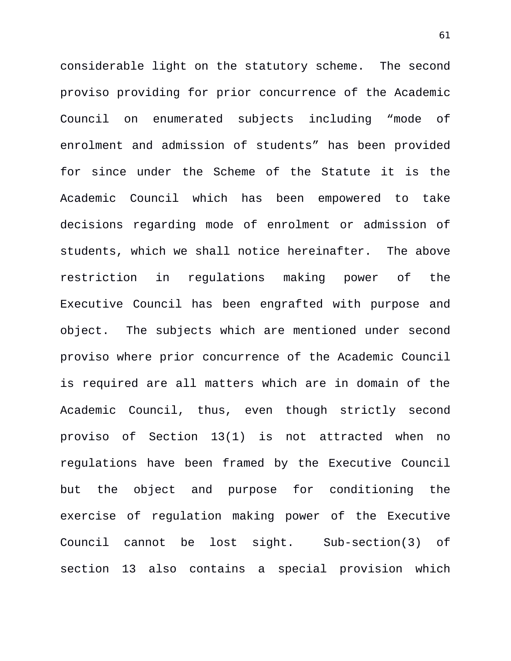considerable light on the statutory scheme. The second proviso providing for prior concurrence of the Academic Council on enumerated subjects including "mode of enrolment and admission of students" has been provided for since under the Scheme of the Statute it is the Academic Council which has been empowered to take decisions regarding mode of enrolment or admission of students, which we shall notice hereinafter. The above restriction in regulations making power of the Executive Council has been engrafted with purpose and object. The subjects which are mentioned under second proviso where prior concurrence of the Academic Council is required are all matters which are in domain of the Academic Council, thus, even though strictly second proviso of Section 13(1) is not attracted when no regulations have been framed by the Executive Council but the object and purpose for conditioning the exercise of regulation making power of the Executive Council cannot be lost sight. Sub-section(3) of section 13 also contains a special provision which

61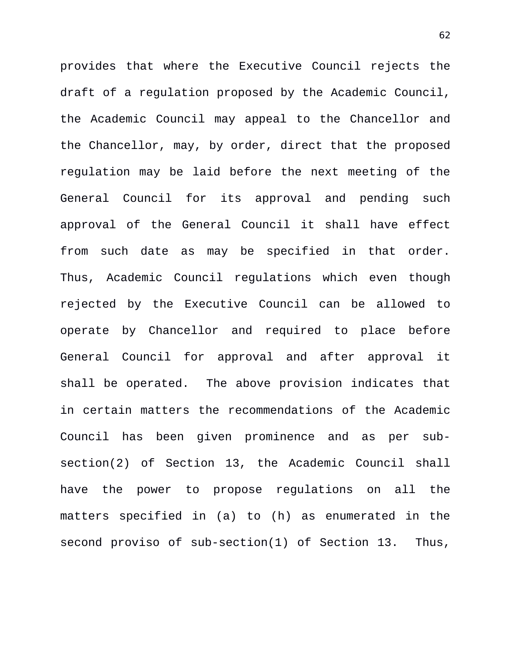provides that where the Executive Council rejects the draft of a regulation proposed by the Academic Council, the Academic Council may appeal to the Chancellor and the Chancellor, may, by order, direct that the proposed regulation may be laid before the next meeting of the General Council for its approval and pending such approval of the General Council it shall have effect from such date as may be specified in that order. Thus, Academic Council regulations which even though rejected by the Executive Council can be allowed to operate by Chancellor and required to place before General Council for approval and after approval it shall be operated. The above provision indicates that in certain matters the recommendations of the Academic Council has been given prominence and as per subsection(2) of Section 13, the Academic Council shall have the power to propose regulations on all the matters specified in (a) to (h) as enumerated in the second proviso of sub-section(1) of Section 13. Thus,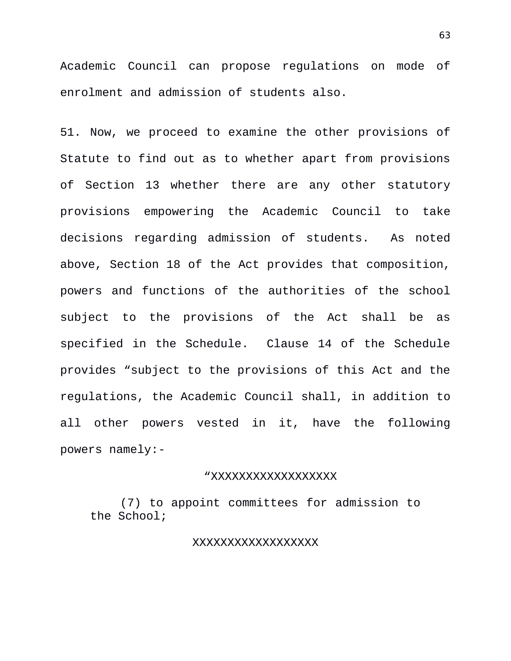Academic Council can propose regulations on mode of enrolment and admission of students also.

51. Now, we proceed to examine the other provisions of Statute to find out as to whether apart from provisions of Section 13 whether there are any other statutory provisions empowering the Academic Council to take decisions regarding admission of students. As noted above, Section 18 of the Act provides that composition, powers and functions of the authorities of the school subject to the provisions of the Act shall be as specified in the Schedule. Clause 14 of the Schedule provides "subject to the provisions of this Act and the regulations, the Academic Council shall, in addition to all other powers vested in it, have the following powers namely:-

## "XXXXXXXXXXXXXXXXXX

(7) to appoint committees for admission to the School;

## XXXXXXXXXXXXXXXXXX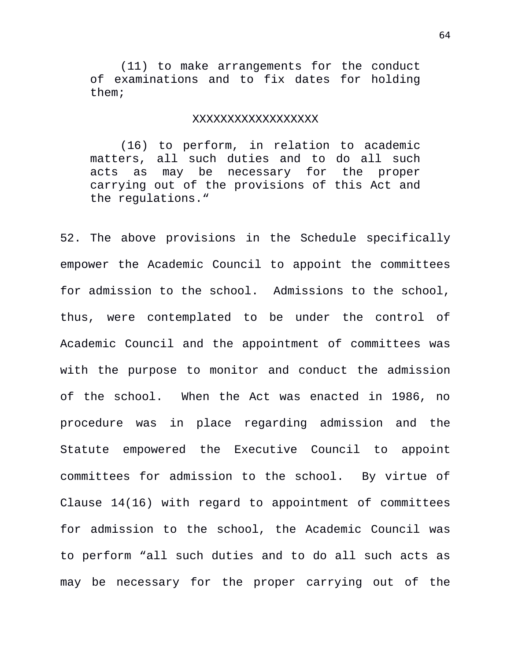(11) to make arrangements for the conduct of examinations and to fix dates for holding them;

#### XXXXXXXXXXXXXXXXXX

(16) to perform, in relation to academic matters, all such duties and to do all such acts as may be necessary for the proper carrying out of the provisions of this Act and the regulations."

52. The above provisions in the Schedule specifically empower the Academic Council to appoint the committees for admission to the school. Admissions to the school, thus, were contemplated to be under the control of Academic Council and the appointment of committees was with the purpose to monitor and conduct the admission of the school. When the Act was enacted in 1986, no procedure was in place regarding admission and the Statute empowered the Executive Council to appoint committees for admission to the school. By virtue of Clause 14(16) with regard to appointment of committees for admission to the school, the Academic Council was to perform "all such duties and to do all such acts as may be necessary for the proper carrying out of the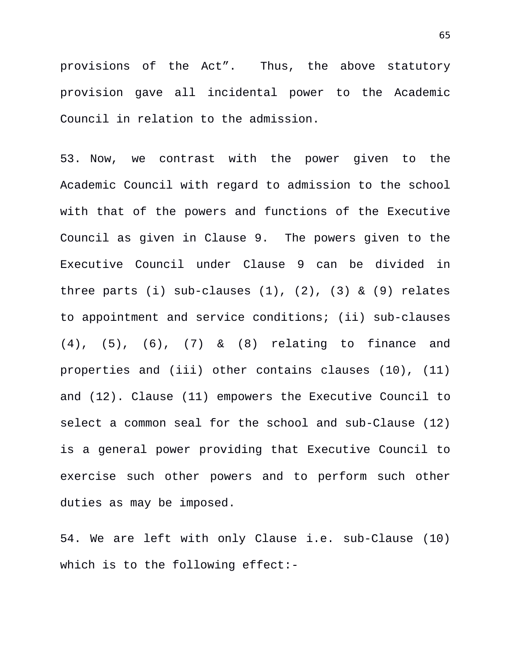provisions of the Act". Thus, the above statutory provision gave all incidental power to the Academic Council in relation to the admission.

53. Now, we contrast with the power given to the Academic Council with regard to admission to the school with that of the powers and functions of the Executive Council as given in Clause 9. The powers given to the Executive Council under Clause 9 can be divided in three parts (i) sub-clauses  $(1)$ ,  $(2)$ ,  $(3)$  &  $(9)$  relates to appointment and service conditions; (ii) sub-clauses (4), (5), (6), (7) & (8) relating to finance and properties and (iii) other contains clauses (10), (11) and (12). Clause (11) empowers the Executive Council to select a common seal for the school and sub-Clause (12) is a general power providing that Executive Council to exercise such other powers and to perform such other duties as may be imposed.

54. We are left with only Clause i.e. sub-Clause (10) which is to the following effect:-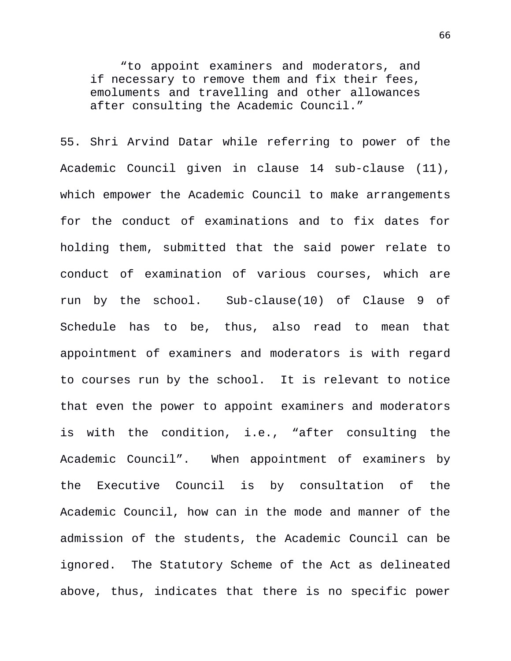"to appoint examiners and moderators, and if necessary to remove them and fix their fees, emoluments and travelling and other allowances after consulting the Academic Council."

55. Shri Arvind Datar while referring to power of the Academic Council given in clause 14 sub-clause (11), which empower the Academic Council to make arrangements for the conduct of examinations and to fix dates for holding them, submitted that the said power relate to conduct of examination of various courses, which are run by the school. Sub-clause(10) of Clause 9 of Schedule has to be, thus, also read to mean that appointment of examiners and moderators is with regard to courses run by the school. It is relevant to notice that even the power to appoint examiners and moderators is with the condition, i.e., "after consulting the Academic Council". When appointment of examiners by the Executive Council is by consultation of the Academic Council, how can in the mode and manner of the admission of the students, the Academic Council can be ignored. The Statutory Scheme of the Act as delineated above, thus, indicates that there is no specific power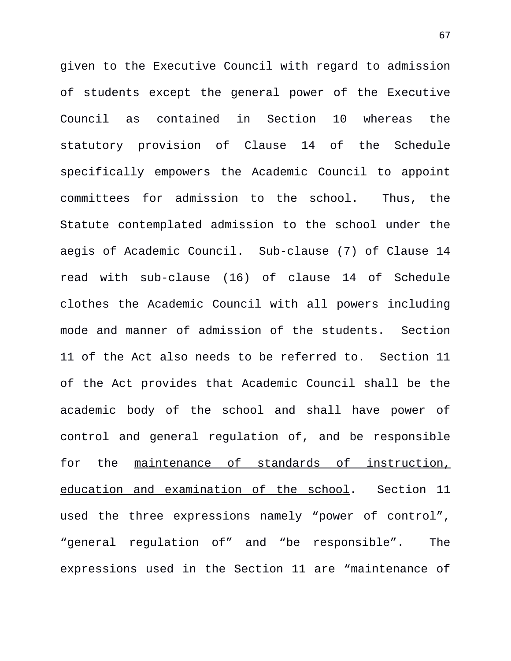given to the Executive Council with regard to admission of students except the general power of the Executive Council as contained in Section 10 whereas the statutory provision of Clause 14 of the Schedule specifically empowers the Academic Council to appoint committees for admission to the school. Thus, the Statute contemplated admission to the school under the aegis of Academic Council. Sub-clause (7) of Clause 14 read with sub-clause (16) of clause 14 of Schedule clothes the Academic Council with all powers including mode and manner of admission of the students. Section 11 of the Act also needs to be referred to. Section 11 of the Act provides that Academic Council shall be the academic body of the school and shall have power of control and general regulation of, and be responsible for the maintenance of standards of instruction, education and examination of the school. Section 11 used the three expressions namely "power of control", "general regulation of" and "be responsible". The expressions used in the Section 11 are "maintenance of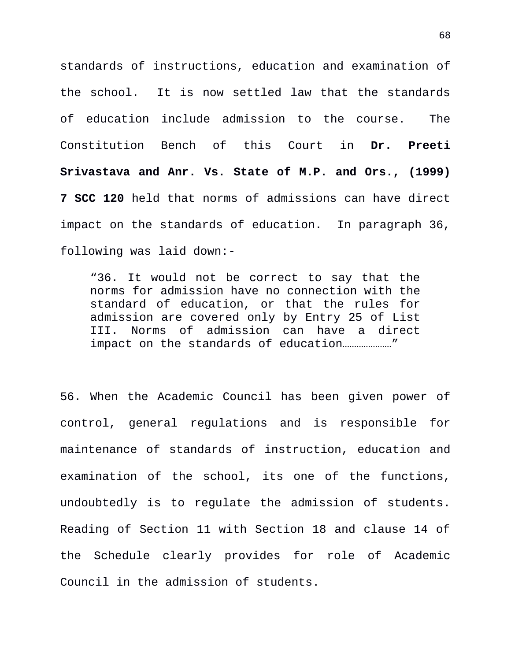standards of instructions, education and examination of the school. It is now settled law that the standards of education include admission to the course. The Constitution Bench of this Court in **Dr. Preeti Srivastava and Anr. Vs. State of M.P. and Ors., (1999) 7 SCC 120** held that norms of admissions can have direct impact on the standards of education. In paragraph 36, following was laid down:-

"36. It would not be correct to say that the norms for admission have no connection with the standard of education, or that the rules for admission are covered only by Entry 25 of List III. Norms of admission can have a direct impact on the standards of education…………………"

56. When the Academic Council has been given power of control, general regulations and is responsible for maintenance of standards of instruction, education and examination of the school, its one of the functions, undoubtedly is to regulate the admission of students. Reading of Section 11 with Section 18 and clause 14 of the Schedule clearly provides for role of Academic Council in the admission of students.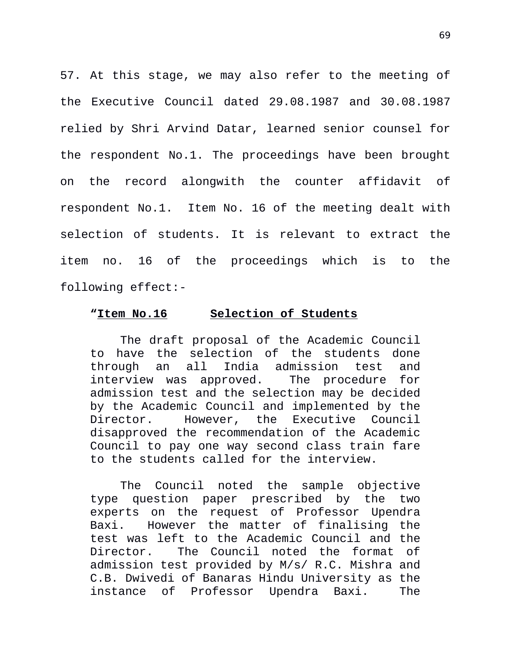57. At this stage, we may also refer to the meeting of the Executive Council dated 29.08.1987 and 30.08.1987 relied by Shri Arvind Datar, learned senior counsel for the respondent No.1. The proceedings have been brought on the record alongwith the counter affidavit of respondent No.1. Item No. 16 of the meeting dealt with selection of students. It is relevant to extract the item no. 16 of the proceedings which is to the following effect:-

## **"Item No.16 Selection of Students**

The draft proposal of the Academic Council to have the selection of the students done through an all India admission test and interview was approved. The procedure for admission test and the selection may be decided by the Academic Council and implemented by the Director. However, the Executive Council disapproved the recommendation of the Academic Council to pay one way second class train fare to the students called for the interview.

The Council noted the sample objective type question paper prescribed by the two experts on the request of Professor Upendra Baxi. However the matter of finalising the test was left to the Academic Council and the Director. The Council noted the format of admission test provided by M/s/ R.C. Mishra and C.B. Dwivedi of Banaras Hindu University as the instance of Professor Upendra Baxi. The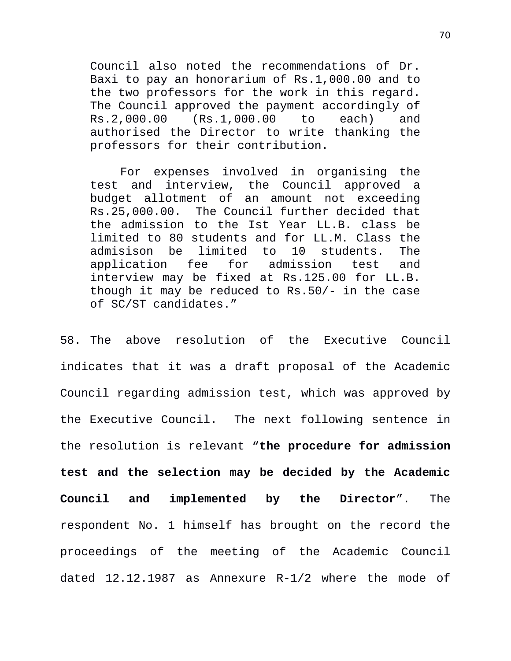Council also noted the recommendations of Dr. Baxi to pay an honorarium of Rs.1,000.00 and to the two professors for the work in this regard. The Council approved the payment accordingly of Rs.2,000.00 (Rs.1,000.00 to each) and authorised the Director to write thanking the professors for their contribution.

For expenses involved in organising the test and interview, the Council approved a budget allotment of an amount not exceeding Rs.25,000.00. The Council further decided that the admission to the Ist Year LL.B. class be limited to 80 students and for LL.M. Class the admisison be limited to 10 students. The application fee for admission test and interview may be fixed at Rs.125.00 for LL.B. though it may be reduced to Rs.50/- in the case of SC/ST candidates."

58. The above resolution of the Executive Council indicates that it was a draft proposal of the Academic Council regarding admission test, which was approved by the Executive Council. The next following sentence in the resolution is relevant "**the procedure for admission test and the selection may be decided by the Academic Council and implemented by the Director**". The respondent No. 1 himself has brought on the record the proceedings of the meeting of the Academic Council dated 12.12.1987 as Annexure R-1/2 where the mode of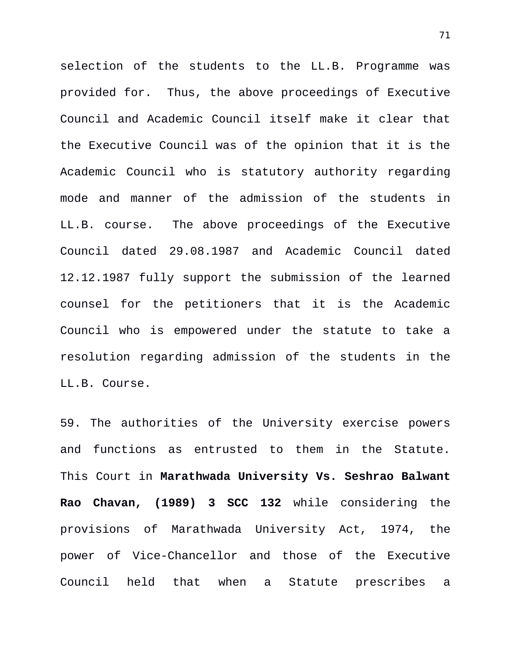selection of the students to the LL.B. Programme was provided for. Thus, the above proceedings of Executive Council and Academic Council itself make it clear that the Executive Council was of the opinion that it is the Academic Council who is statutory authority regarding mode and manner of the admission of the students in LL.B. course. The above proceedings of the Executive Council dated 29.08.1987 and Academic Council dated 12.12.1987 fully support the submission of the learned counsel for the petitioners that it is the Academic Council who is empowered under the statute to take a resolution regarding admission of the students in the LL.B. Course.

59. The authorities of the University exercise powers and functions as entrusted to them in the Statute. This Court in **Marathwada University Vs. Seshrao Balwant Rao Chavan, (1989) 3 SCC 132** while considering the provisions of Marathwada University Act, 1974, the power of Vice-Chancellor and those of the Executive Council held that when a Statute prescribes a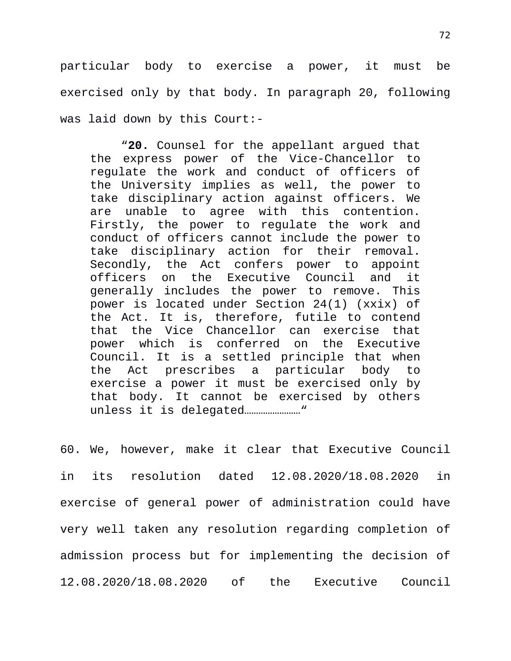particular body to exercise a power, it must be exercised only by that body. In paragraph 20, following was laid down by this Court:-

"**20.** Counsel for the appellant argued that the express power of the Vice-Chancellor to regulate the work and conduct of officers of the University implies as well, the power to take disciplinary action against officers. We are unable to agree with this contention. Firstly, the power to regulate the work and conduct of officers cannot include the power to take disciplinary action for their removal. Secondly, the Act confers power to appoint officers on the Executive Council and it generally includes the power to remove. This power is located under Section 24(1) (xxix) of the Act. It is, therefore, futile to contend that the Vice Chancellor can exercise that power which is conferred on the Executive Council. It is a settled principle that when the Act prescribes a particular body to exercise a power it must be exercised only by that body. It cannot be exercised by others unless it is delegated……………………"

60. We, however, make it clear that Executive Council in its resolution dated 12.08.2020/18.08.2020 in exercise of general power of administration could have very well taken any resolution regarding completion of admission process but for implementing the decision of 12.08.2020/18.08.2020 of the Executive Council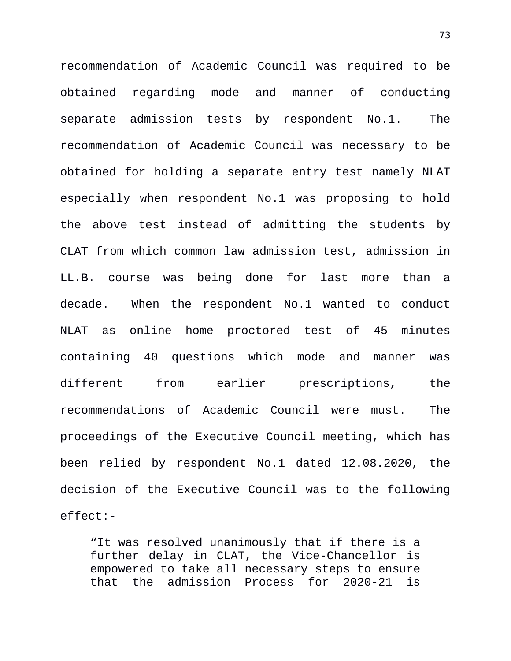recommendation of Academic Council was required to be obtained regarding mode and manner of conducting separate admission tests by respondent No.1. The recommendation of Academic Council was necessary to be obtained for holding a separate entry test namely NLAT especially when respondent No.1 was proposing to hold the above test instead of admitting the students by CLAT from which common law admission test, admission in LL.B. course was being done for last more than a decade. When the respondent No.1 wanted to conduct NLAT as online home proctored test of 45 minutes containing 40 questions which mode and manner was different from earlier prescriptions, the recommendations of Academic Council were must. The proceedings of the Executive Council meeting, which has been relied by respondent No.1 dated 12.08.2020, the decision of the Executive Council was to the following effect:-

"It was resolved unanimously that if there is a further delay in CLAT, the Vice-Chancellor is empowered to take all necessary steps to ensure that the admission Process for 2020-21 is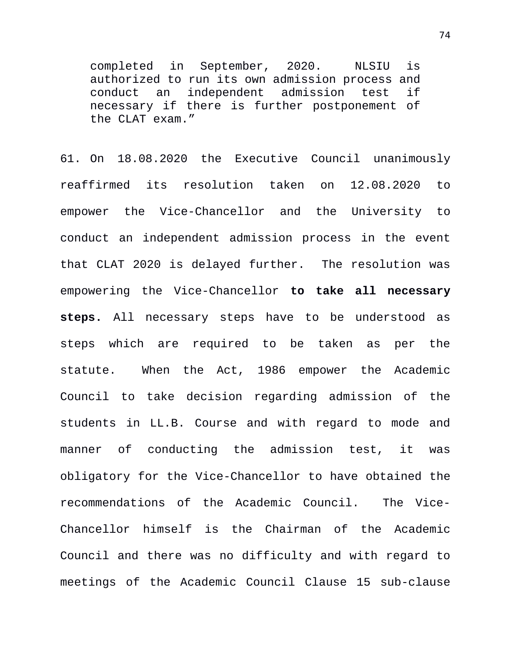completed in September, 2020. NLSIU is authorized to run its own admission process and conduct an independent admission test if necessary if there is further postponement of the CLAT exam."

61. On 18.08.2020 the Executive Council unanimously reaffirmed its resolution taken on 12.08.2020 to empower the Vice-Chancellor and the University to conduct an independent admission process in the event that CLAT 2020 is delayed further. The resolution was empowering the Vice-Chancellor **to take all necessary steps.** All necessary steps have to be understood as steps which are required to be taken as per the statute. When the Act, 1986 empower the Academic Council to take decision regarding admission of the students in LL.B. Course and with regard to mode and manner of conducting the admission test, it was obligatory for the Vice-Chancellor to have obtained the recommendations of the Academic Council. The Vice-Chancellor himself is the Chairman of the Academic Council and there was no difficulty and with regard to meetings of the Academic Council Clause 15 sub-clause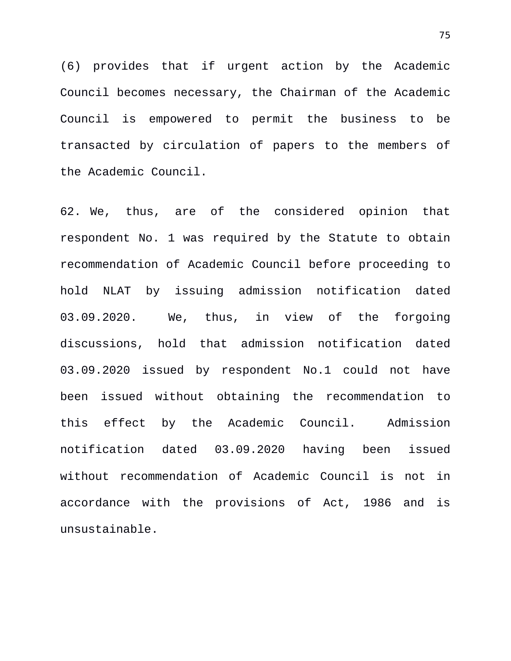(6) provides that if urgent action by the Academic Council becomes necessary, the Chairman of the Academic Council is empowered to permit the business to be transacted by circulation of papers to the members of the Academic Council.

62. We, thus, are of the considered opinion that respondent No. 1 was required by the Statute to obtain recommendation of Academic Council before proceeding to hold NLAT by issuing admission notification dated 03.09.2020. We, thus, in view of the forgoing discussions, hold that admission notification dated 03.09.2020 issued by respondent No.1 could not have been issued without obtaining the recommendation to this effect by the Academic Council. Admission notification dated 03.09.2020 having been issued without recommendation of Academic Council is not in accordance with the provisions of Act, 1986 and is unsustainable.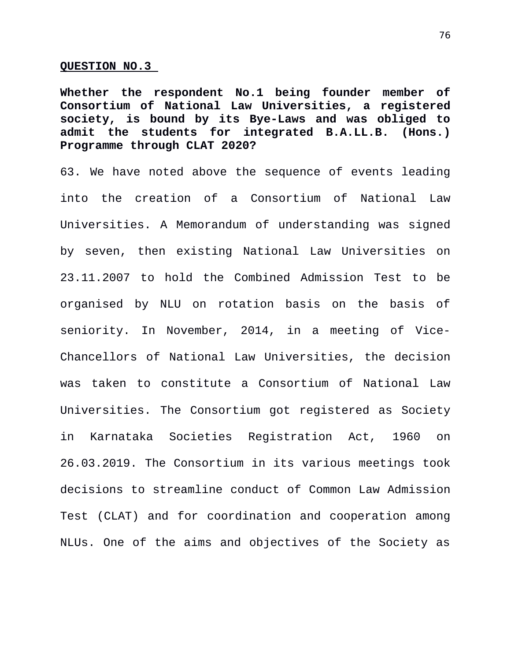## **QUESTION NO.3**

**Whether the respondent No.1 being founder member of Consortium of National Law Universities, a registered society, is bound by its Bye-Laws and was obliged to admit the students for integrated B.A.LL.B. (Hons.) Programme through CLAT 2020?** 

63. We have noted above the sequence of events leading into the creation of a Consortium of National Law Universities. A Memorandum of understanding was signed by seven, then existing National Law Universities on 23.11.2007 to hold the Combined Admission Test to be organised by NLU on rotation basis on the basis of seniority. In November, 2014, in a meeting of Vice-Chancellors of National Law Universities, the decision was taken to constitute a Consortium of National Law Universities. The Consortium got registered as Society in Karnataka Societies Registration Act, 1960 on 26.03.2019. The Consortium in its various meetings took decisions to streamline conduct of Common Law Admission Test (CLAT) and for coordination and cooperation among NLUs. One of the aims and objectives of the Society as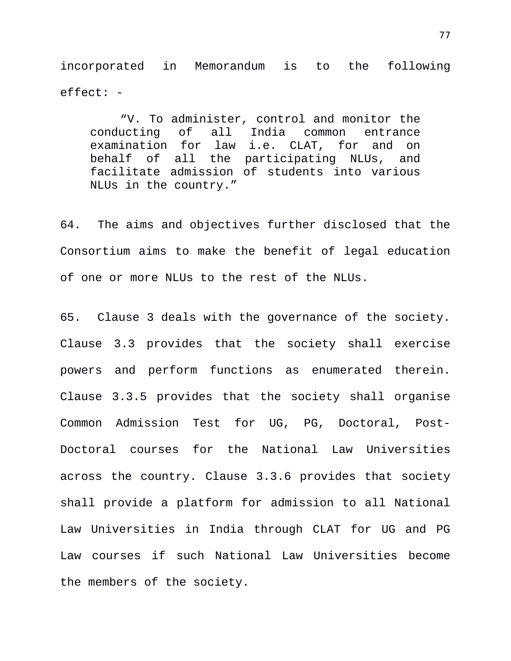incorporated in Memorandum is to the following effect: -

"V. To administer, control and monitor the<br>conducting of all India common entrance of all India common entrance examination for law i.e. CLAT, for and on behalf of all the participating NLUs, and facilitate admission of students into various NLUs in the country."

64. The aims and objectives further disclosed that the Consortium aims to make the benefit of legal education of one or more NLUs to the rest of the NLUs.

65. Clause 3 deals with the governance of the society. Clause 3.3 provides that the society shall exercise powers and perform functions as enumerated therein. Clause 3.3.5 provides that the society shall organise Common Admission Test for UG, PG, Doctoral, Post-Doctoral courses for the National Law Universities across the country. Clause 3.3.6 provides that society shall provide a platform for admission to all National Law Universities in India through CLAT for UG and PG Law courses if such National Law Universities become the members of the society.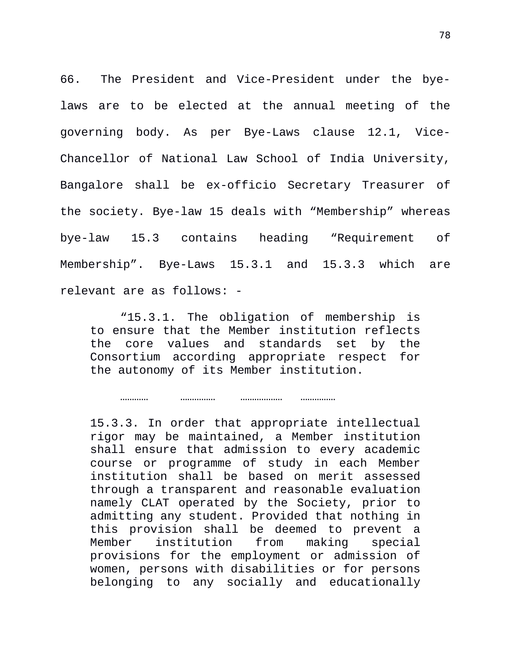66. The President and Vice-President under the byelaws are to be elected at the annual meeting of the governing body. As per Bye-Laws clause 12.1, Vice-Chancellor of National Law School of India University, Bangalore shall be ex-officio Secretary Treasurer of the society. Bye-law 15 deals with "Membership" whereas bye-law 15.3 contains heading "Requirement of Membership". Bye-Laws 15.3.1 and 15.3.3 which are relevant are as follows: -

"15.3.1. The obligation of membership is to ensure that the Member institution reflects the core values and standards set by the Consortium according appropriate respect for the autonomy of its Member institution.

………… …………… ……………… ……………

15.3.3. In order that appropriate intellectual rigor may be maintained, a Member institution shall ensure that admission to every academic course or programme of study in each Member institution shall be based on merit assessed through a transparent and reasonable evaluation namely CLAT operated by the Society, prior to admitting any student. Provided that nothing in this provision shall be deemed to prevent a Member institution from making special provisions for the employment or admission of women, persons with disabilities or for persons belonging to any socially and educationally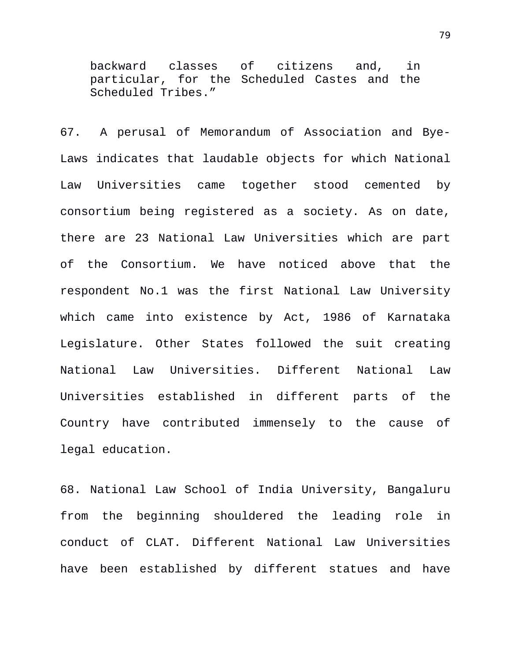backward classes of citizens and, in particular, for the Scheduled Castes and the Scheduled Tribes."

67. A perusal of Memorandum of Association and Bye-Laws indicates that laudable objects for which National Law Universities came together stood cemented by consortium being registered as a society. As on date, there are 23 National Law Universities which are part of the Consortium. We have noticed above that the respondent No.1 was the first National Law University which came into existence by Act, 1986 of Karnataka Legislature. Other States followed the suit creating National Law Universities. Different National Law Universities established in different parts of the Country have contributed immensely to the cause of legal education.

68. National Law School of India University, Bangaluru from the beginning shouldered the leading role in conduct of CLAT. Different National Law Universities have been established by different statues and have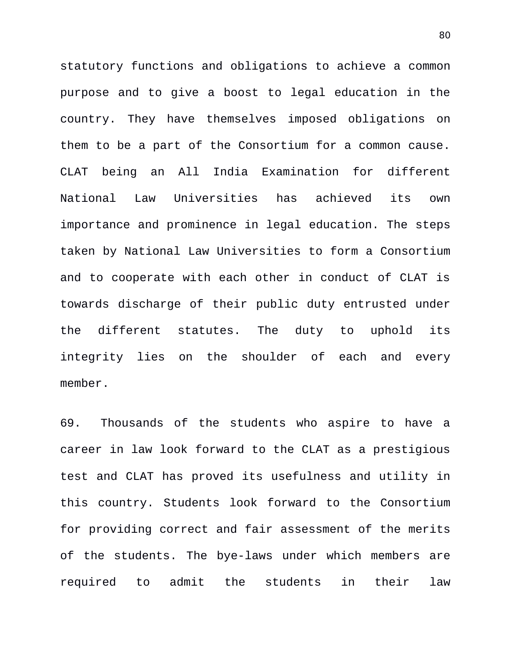statutory functions and obligations to achieve a common purpose and to give a boost to legal education in the country. They have themselves imposed obligations on them to be a part of the Consortium for a common cause. CLAT being an All India Examination for different National Law Universities has achieved its own importance and prominence in legal education. The steps taken by National Law Universities to form a Consortium and to cooperate with each other in conduct of CLAT is towards discharge of their public duty entrusted under the different statutes. The duty to uphold its integrity lies on the shoulder of each and every member.

69. Thousands of the students who aspire to have a career in law look forward to the CLAT as a prestigious test and CLAT has proved its usefulness and utility in this country. Students look forward to the Consortium for providing correct and fair assessment of the merits of the students. The bye-laws under which members are required to admit the students in their law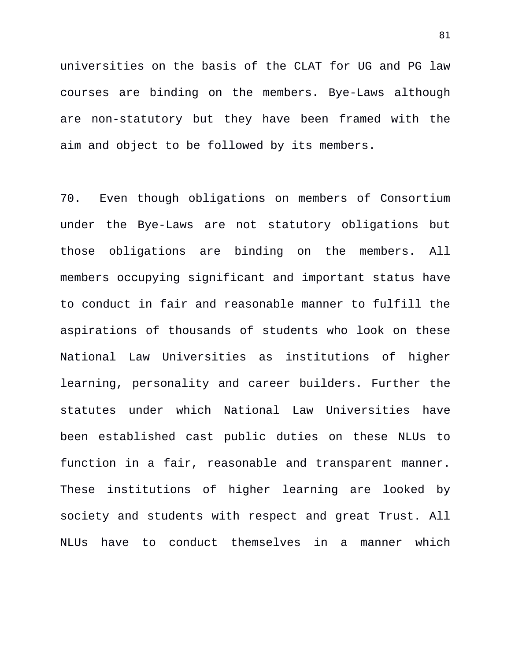universities on the basis of the CLAT for UG and PG law courses are binding on the members. Bye-Laws although are non-statutory but they have been framed with the aim and object to be followed by its members.

70. Even though obligations on members of Consortium under the Bye-Laws are not statutory obligations but those obligations are binding on the members. All members occupying significant and important status have to conduct in fair and reasonable manner to fulfill the aspirations of thousands of students who look on these National Law Universities as institutions of higher learning, personality and career builders. Further the statutes under which National Law Universities have been established cast public duties on these NLUs to function in a fair, reasonable and transparent manner. These institutions of higher learning are looked by society and students with respect and great Trust. All NLUs have to conduct themselves in a manner which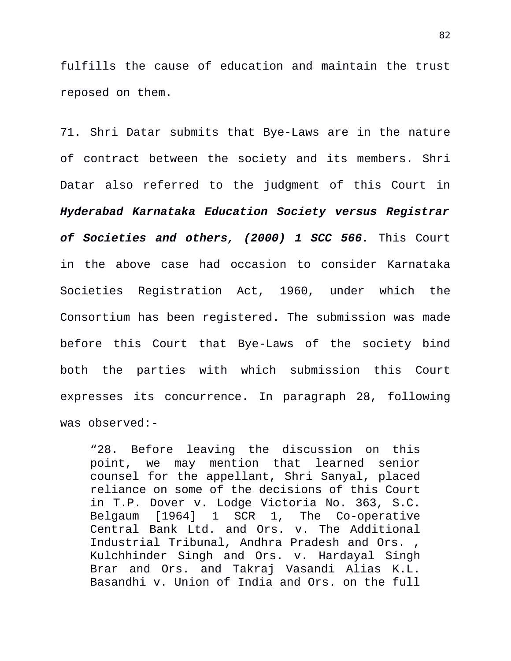fulfills the cause of education and maintain the trust reposed on them.

71. Shri Datar submits that Bye-Laws are in the nature of contract between the society and its members. Shri Datar also referred to the judgment of this Court in *Hyderabad Karnataka Education Society versus Registrar of Societies and others, (2000) 1 SCC 566.* This Court in the above case had occasion to consider Karnataka Societies Registration Act, 1960, under which the Consortium has been registered. The submission was made before this Court that Bye-Laws of the society bind both the parties with which submission this Court expresses its concurrence. In paragraph 28, following was observed:-

"28. Before leaving the discussion on this point, we may mention that learned senior counsel for the appellant, Shri Sanyal, placed reliance on some of the decisions of this Court in T.P. Dover v. Lodge Victoria No. 363, S.C. Belgaum [1964] 1 SCR 1, The Co-operative Central Bank Ltd. and Ors. v. The Additional Industrial Tribunal, Andhra Pradesh and Ors. Kulchhinder Singh and Ors. v. Hardayal Singh Brar and Ors. and Takraj Vasandi Alias K.L. Basandhi v. Union of India and Ors. on the full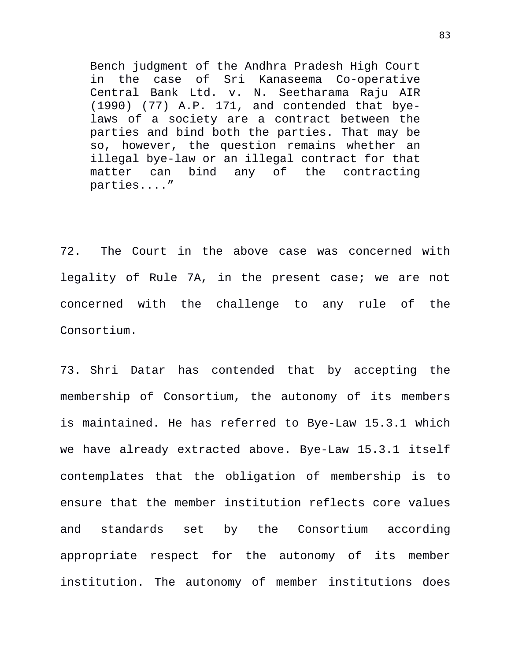Bench judgment of the Andhra Pradesh High Court in the case of Sri Kanaseema Co-operative Central Bank Ltd. v. N. Seetharama Raju AIR (1990) (77) A.P. 171, and contended that byelaws of a society are a contract between the parties and bind both the parties. That may be so, however, the question remains whether an illegal bye-law or an illegal contract for that matter can bind any of the contracting parties...."

72. The Court in the above case was concerned with legality of Rule 7A, in the present case; we are not concerned with the challenge to any rule of the Consortium.

73. Shri Datar has contended that by accepting the membership of Consortium, the autonomy of its members is maintained. He has referred to Bye-Law 15.3.1 which we have already extracted above. Bye-Law 15.3.1 itself contemplates that the obligation of membership is to ensure that the member institution reflects core values and standards set by the Consortium according appropriate respect for the autonomy of its member institution. The autonomy of member institutions does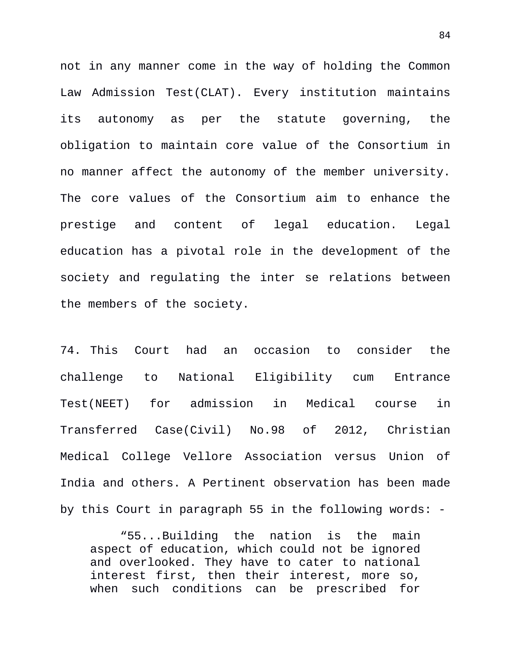not in any manner come in the way of holding the Common Law Admission Test(CLAT). Every institution maintains its autonomy as per the statute governing, the obligation to maintain core value of the Consortium in no manner affect the autonomy of the member university. The core values of the Consortium aim to enhance the prestige and content of legal education. Legal education has a pivotal role in the development of the society and regulating the inter se relations between the members of the society.

74. This Court had an occasion to consider the challenge to National Eligibility cum Entrance Test(NEET) for admission in Medical course in Transferred Case(Civil) No.98 of 2012, Christian Medical College Vellore Association versus Union of India and others. A Pertinent observation has been made by this Court in paragraph 55 in the following words: -

"55...Building the nation is the main aspect of education, which could not be ignored and overlooked. They have to cater to national interest first, then their interest, more so, when such conditions can be prescribed for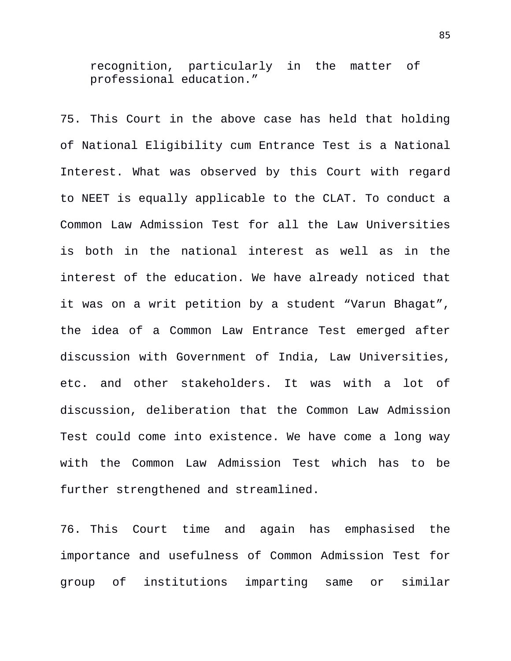recognition, particularly in the matter of professional education."

75. This Court in the above case has held that holding of National Eligibility cum Entrance Test is a National Interest. What was observed by this Court with regard to NEET is equally applicable to the CLAT. To conduct a Common Law Admission Test for all the Law Universities is both in the national interest as well as in the interest of the education. We have already noticed that it was on a writ petition by a student "Varun Bhagat", the idea of a Common Law Entrance Test emerged after discussion with Government of India, Law Universities, etc. and other stakeholders. It was with a lot of discussion, deliberation that the Common Law Admission Test could come into existence. We have come a long way with the Common Law Admission Test which has to be further strengthened and streamlined.

76. This Court time and again has emphasised the importance and usefulness of Common Admission Test for group of institutions imparting same or similar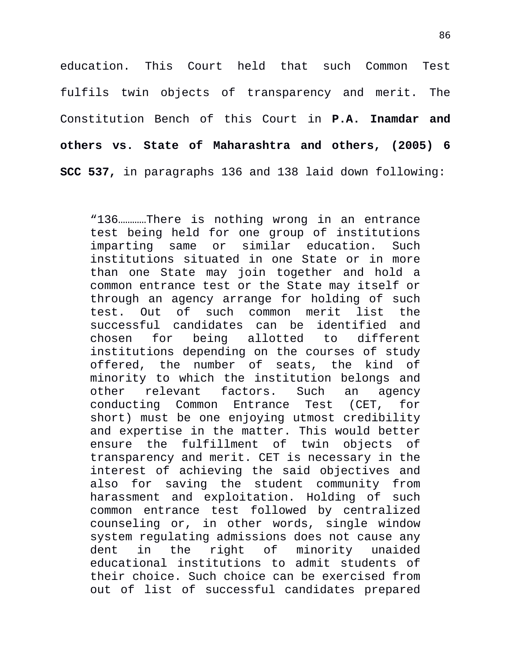education. This Court held that such Common Test fulfils twin objects of transparency and merit. The Constitution Bench of this Court in **P.A. Inamdar and others vs. State of Maharashtra and others, (2005) 6 SCC 537,** in paragraphs 136 and 138 laid down following:

"136…………There is nothing wrong in an entrance test being held for one group of institutions imparting same or similar education. Such institutions situated in one State or in more than one State may join together and hold a common entrance test or the State may itself or through an agency arrange for holding of such test. Out of such common merit list the successful candidates can be identified and chosen for being allotted to different institutions depending on the courses of study offered, the number of seats, the kind of minority to which the institution belongs and other relevant factors. Such an agency conducting Common Entrance Test (CET, for short) must be one enjoying utmost credibility and expertise in the matter. This would better ensure the fulfillment of twin objects of transparency and merit. CET is necessary in the interest of achieving the said objectives and also for saving the student community from harassment and exploitation. Holding of such common entrance test followed by centralized counseling or, in other words, single window system regulating admissions does not cause any dent in the right of minority unaided educational institutions to admit students of their choice. Such choice can be exercised from out of list of successful candidates prepared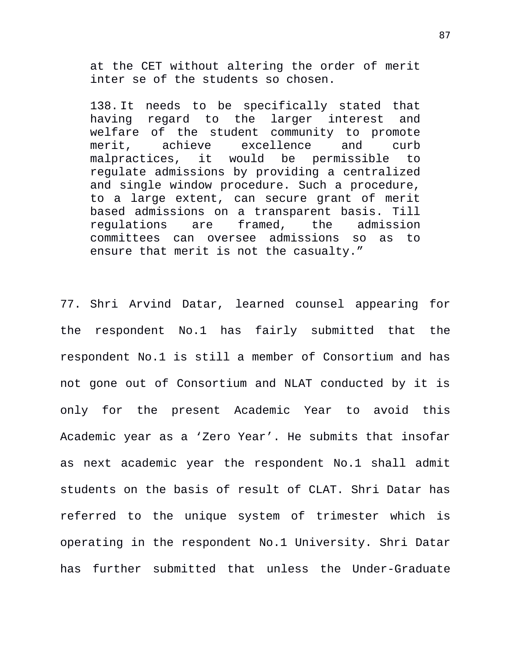at the CET without altering the order of merit inter se of the students so chosen.

138. It needs to be specifically stated that having regard to the larger interest and welfare of the student community to promote merit, achieve excellence and curb malpractices, it would be permissible to regulate admissions by providing a centralized and single window procedure. Such a procedure, to a large extent, can secure grant of merit based admissions on a transparent basis. Till regulations are framed, the admission committees can oversee admissions so as to ensure that merit is not the casualty."

77. Shri Arvind Datar, learned counsel appearing for the respondent No.1 has fairly submitted that the respondent No.1 is still a member of Consortium and has not gone out of Consortium and NLAT conducted by it is only for the present Academic Year to avoid this Academic year as a 'Zero Year'. He submits that insofar as next academic year the respondent No.1 shall admit students on the basis of result of CLAT. Shri Datar has referred to the unique system of trimester which is operating in the respondent No.1 University. Shri Datar has further submitted that unless the Under-Graduate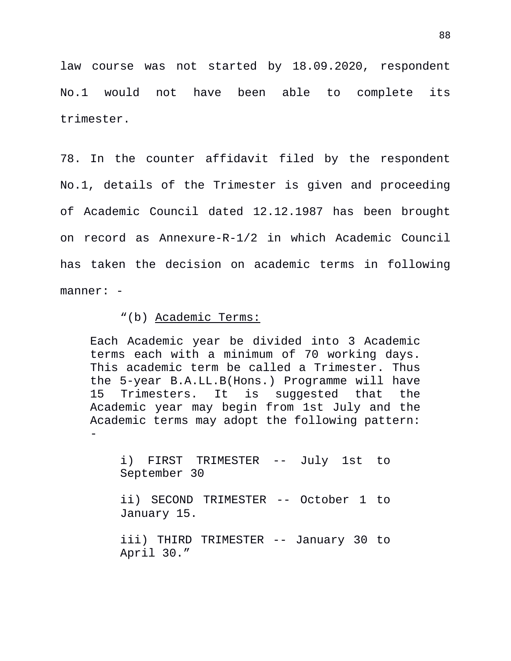law course was not started by 18.09.2020, respondent No.1 would not have been able to complete its trimester.

78. In the counter affidavit filed by the respondent No.1, details of the Trimester is given and proceeding of Academic Council dated 12.12.1987 has been brought on record as Annexure-R-1/2 in which Academic Council has taken the decision on academic terms in following manner: -

"(b) Academic Terms:

Each Academic year be divided into 3 Academic terms each with a minimum of 70 working days. This academic term be called a Trimester. Thus the 5-year B.A.LL.B(Hons.) Programme will have 15 Trimesters. It is suggested that the Academic year may begin from 1st July and the Academic terms may adopt the following pattern: -

i) FIRST TRIMESTER -- July 1st to September 30

ii) SECOND TRIMESTER -- October 1 to January 15.

iii) THIRD TRIMESTER -- January 30 to April 30."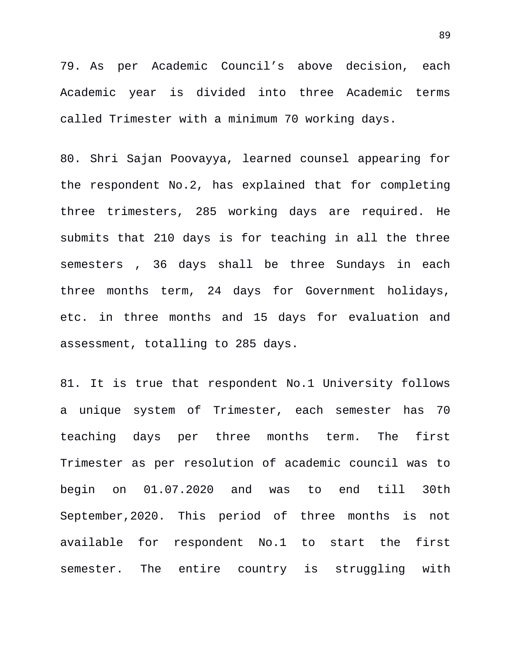79. As per Academic Council's above decision, each Academic year is divided into three Academic terms called Trimester with a minimum 70 working days.

80. Shri Sajan Poovayya, learned counsel appearing for the respondent No.2, has explained that for completing three trimesters, 285 working days are required. He submits that 210 days is for teaching in all the three semesters , 36 days shall be three Sundays in each three months term, 24 days for Government holidays, etc. in three months and 15 days for evaluation and assessment, totalling to 285 days.

81. It is true that respondent No.1 University follows a unique system of Trimester, each semester has 70 teaching days per three months term. The first Trimester as per resolution of academic council was to begin on 01.07.2020 and was to end till 30th September,2020. This period of three months is not available for respondent No.1 to start the first semester. The entire country is struggling with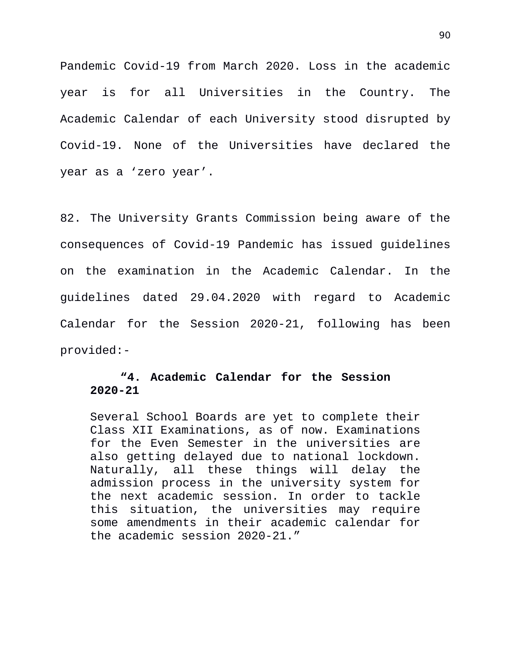Pandemic Covid-19 from March 2020. Loss in the academic year is for all Universities in the Country. The Academic Calendar of each University stood disrupted by Covid-19. None of the Universities have declared the year as a 'zero year'.

82. The University Grants Commission being aware of the consequences of Covid-19 Pandemic has issued guidelines on the examination in the Academic Calendar. In the guidelines dated 29.04.2020 with regard to Academic Calendar for the Session 2020-21, following has been provided:-

## **"4. Academic Calendar for the Session 2020-21**

Several School Boards are yet to complete their Class XII Examinations, as of now. Examinations for the Even Semester in the universities are also getting delayed due to national lockdown. Naturally, all these things will delay the admission process in the university system for the next academic session. In order to tackle this situation, the universities may require some amendments in their academic calendar for the academic session 2020-21."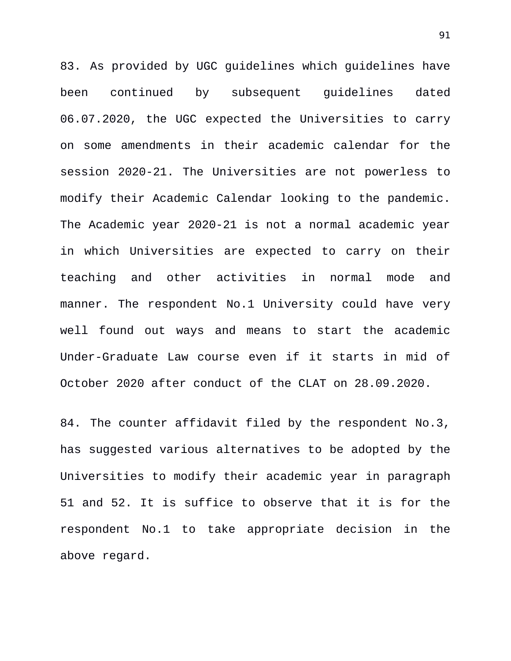83. As provided by UGC guidelines which guidelines have been continued by subsequent guidelines dated 06.07.2020, the UGC expected the Universities to carry on some amendments in their academic calendar for the session 2020-21. The Universities are not powerless to modify their Academic Calendar looking to the pandemic. The Academic year 2020-21 is not a normal academic year in which Universities are expected to carry on their teaching and other activities in normal mode and manner. The respondent No.1 University could have very well found out ways and means to start the academic Under-Graduate Law course even if it starts in mid of October 2020 after conduct of the CLAT on 28.09.2020.

84. The counter affidavit filed by the respondent No.3, has suggested various alternatives to be adopted by the Universities to modify their academic year in paragraph 51 and 52. It is suffice to observe that it is for the respondent No.1 to take appropriate decision in the above regard.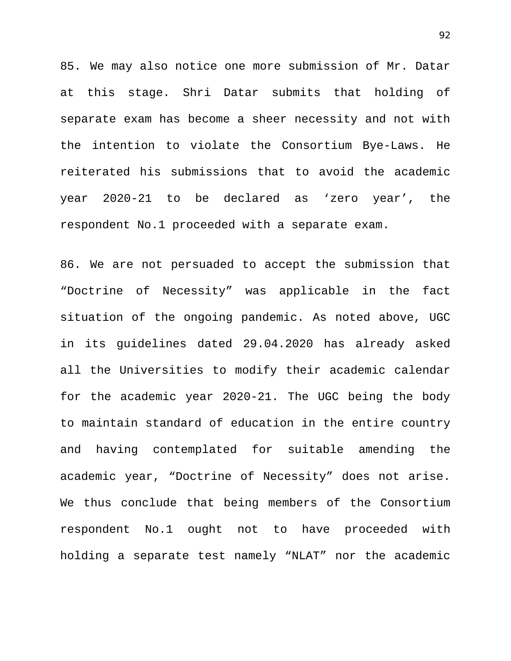85. We may also notice one more submission of Mr. Datar at this stage. Shri Datar submits that holding of separate exam has become a sheer necessity and not with the intention to violate the Consortium Bye-Laws. He reiterated his submissions that to avoid the academic year 2020-21 to be declared as 'zero year', the respondent No.1 proceeded with a separate exam.

86. We are not persuaded to accept the submission that "Doctrine of Necessity" was applicable in the fact situation of the ongoing pandemic. As noted above, UGC in its guidelines dated 29.04.2020 has already asked all the Universities to modify their academic calendar for the academic year 2020-21. The UGC being the body to maintain standard of education in the entire country and having contemplated for suitable amending the academic year, "Doctrine of Necessity" does not arise. We thus conclude that being members of the Consortium respondent No.1 ought not to have proceeded with holding a separate test namely "NLAT" nor the academic

92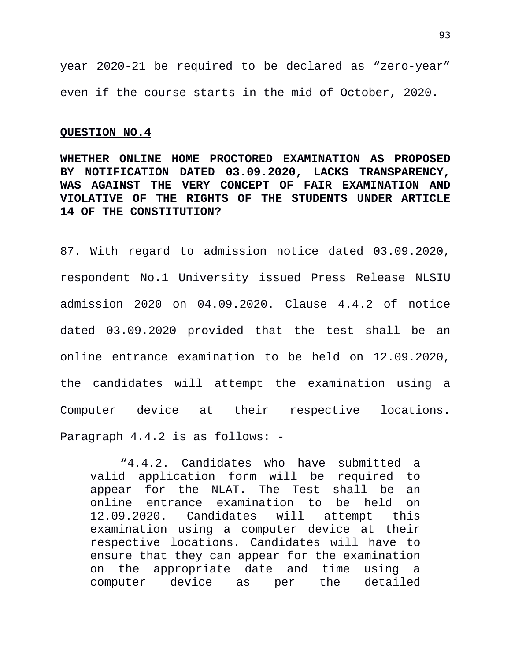year 2020-21 be required to be declared as "zero-year" even if the course starts in the mid of October, 2020.

## **QUESTION NO.4**

**WHETHER ONLINE HOME PROCTORED EXAMINATION AS PROPOSED BY NOTIFICATION DATED 03.09.2020, LACKS TRANSPARENCY, WAS AGAINST THE VERY CONCEPT OF FAIR EXAMINATION AND VIOLATIVE OF THE RIGHTS OF THE STUDENTS UNDER ARTICLE 14 OF THE CONSTITUTION?**

87. With regard to admission notice dated 03.09.2020, respondent No.1 University issued Press Release NLSIU admission 2020 on 04.09.2020. Clause 4.4.2 of notice dated 03.09.2020 provided that the test shall be an online entrance examination to be held on 12.09.2020, the candidates will attempt the examination using a Computer device at their respective locations. Paragraph 4.4.2 is as follows: -

"4.4.2. Candidates who have submitted a valid application form will be required to appear for the NLAT. The Test shall be an online entrance examination to be held on 12.09.2020. Candidates will attempt this examination using a computer device at their respective locations. Candidates will have to ensure that they can appear for the examination on the appropriate date and time using a computer device as per the detailed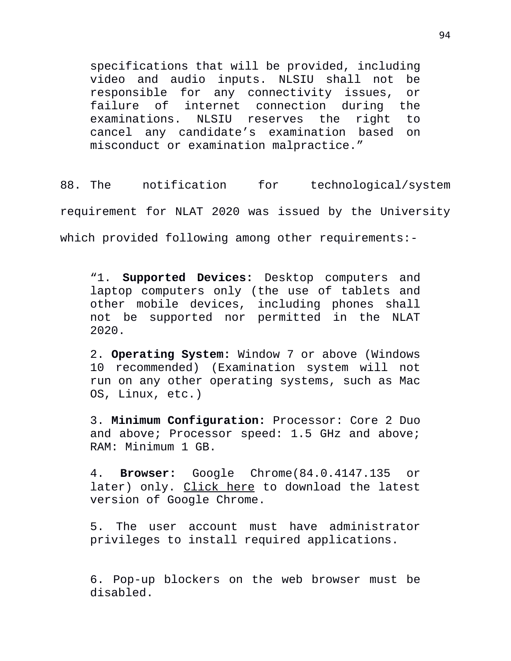specifications that will be provided, including video and audio inputs. NLSIU shall not be responsible for any connectivity issues, or failure of internet connection during the examinations. NLSIU reserves the right to cancel any candidate's examination based on misconduct or examination malpractice."

88. The notification for technological/system requirement for NLAT 2020 was issued by the University which provided following among other requirements:-

"1. **Supported Devices:** Desktop computers and laptop computers only (the use of tablets and other mobile devices, including phones shall not be supported nor permitted in the NLAT 2020.

2. **Operating System:** Window 7 or above (Windows 10 recommended) (Examination system will not run on any other operating systems, such as Mac OS, Linux, etc.)

3. **Minimum Configuration:** Processor: Core 2 Duo and above; Processor speed: 1.5 GHz and above; RAM: Minimum 1 GB.

4. **Browser:** Google Chrome(84.0.4147.135 or later) only. Click here to download the latest version of Google Chrome.

5. The user account must have administrator privileges to install required applications.

6. Pop-up blockers on the web browser must be disabled.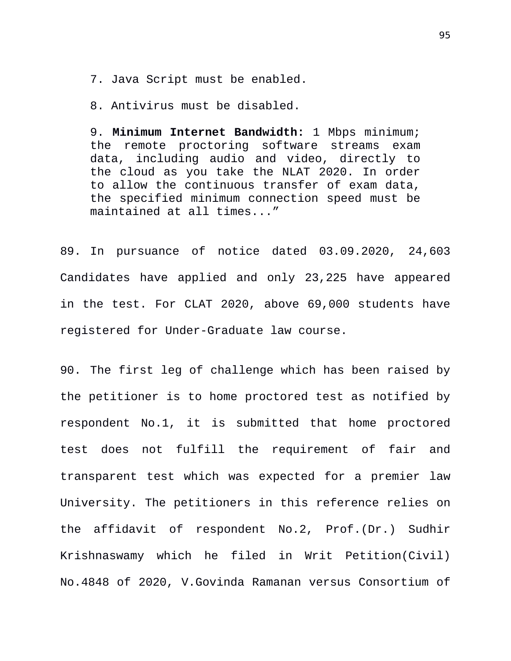7. Java Script must be enabled.

8. Antivirus must be disabled.

9. **Minimum Internet Bandwidth:** 1 Mbps minimum; the remote proctoring software streams exam data, including audio and video, directly to the cloud as you take the NLAT 2020. In order to allow the continuous transfer of exam data, the specified minimum connection speed must be maintained at all times..."

89. In pursuance of notice dated 03.09.2020, 24,603 Candidates have applied and only 23,225 have appeared in the test. For CLAT 2020, above 69,000 students have registered for Under-Graduate law course.

90. The first leg of challenge which has been raised by the petitioner is to home proctored test as notified by respondent No.1, it is submitted that home proctored test does not fulfill the requirement of fair and transparent test which was expected for a premier law University. The petitioners in this reference relies on the affidavit of respondent No.2, Prof.(Dr.) Sudhir Krishnaswamy which he filed in Writ Petition(Civil) No.4848 of 2020, V.Govinda Ramanan versus Consortium of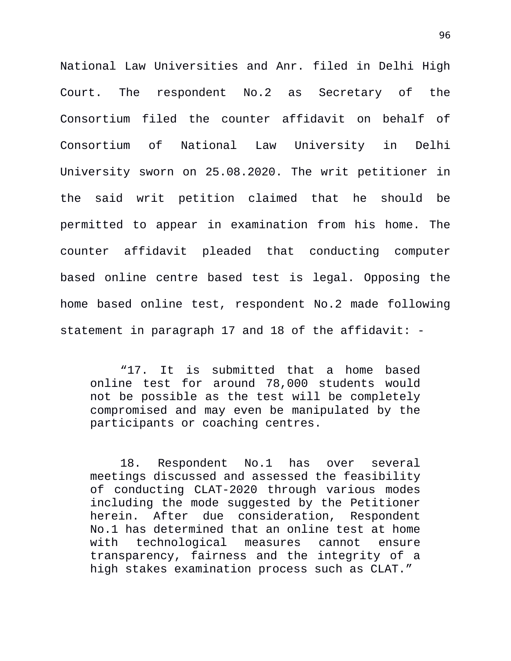National Law Universities and Anr. filed in Delhi High Court. The respondent No.2 as Secretary of the Consortium filed the counter affidavit on behalf of Consortium of National Law University in Delhi University sworn on 25.08.2020. The writ petitioner in the said writ petition claimed that he should be permitted to appear in examination from his home. The counter affidavit pleaded that conducting computer based online centre based test is legal. Opposing the home based online test, respondent No.2 made following statement in paragraph 17 and 18 of the affidavit: -

"17. It is submitted that a home based online test for around 78,000 students would not be possible as the test will be completely compromised and may even be manipulated by the participants or coaching centres.

18. Respondent No.1 has over several meetings discussed and assessed the feasibility of conducting CLAT-2020 through various modes including the mode suggested by the Petitioner herein. After due consideration, Respondent No.1 has determined that an online test at home with technological measures cannot ensure transparency, fairness and the integrity of a high stakes examination process such as CLAT."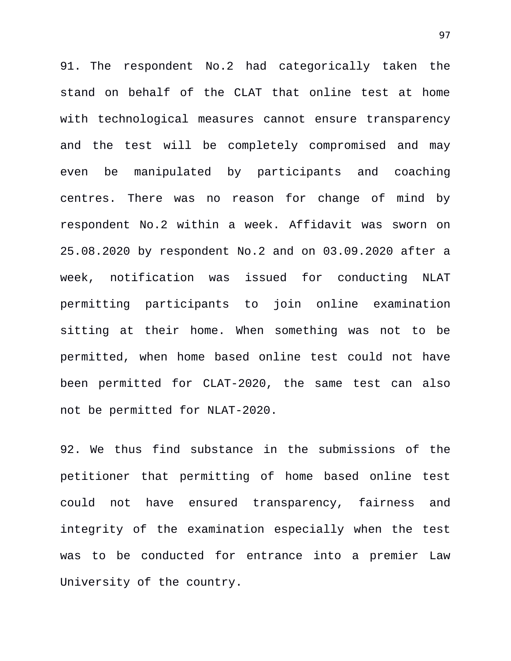91. The respondent No.2 had categorically taken the stand on behalf of the CLAT that online test at home with technological measures cannot ensure transparency and the test will be completely compromised and may even be manipulated by participants and coaching centres. There was no reason for change of mind by respondent No.2 within a week. Affidavit was sworn on 25.08.2020 by respondent No.2 and on 03.09.2020 after a week, notification was issued for conducting NLAT permitting participants to join online examination sitting at their home. When something was not to be permitted, when home based online test could not have been permitted for CLAT-2020, the same test can also not be permitted for NLAT-2020.

92. We thus find substance in the submissions of the petitioner that permitting of home based online test could not have ensured transparency, fairness and integrity of the examination especially when the test was to be conducted for entrance into a premier Law University of the country.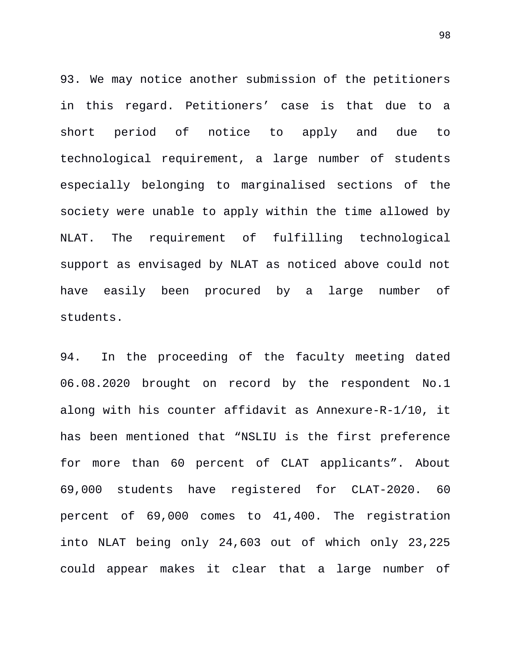93. We may notice another submission of the petitioners in this regard. Petitioners' case is that due to a short period of notice to apply and due to technological requirement, a large number of students especially belonging to marginalised sections of the society were unable to apply within the time allowed by NLAT. The requirement of fulfilling technological support as envisaged by NLAT as noticed above could not have easily been procured by a large number of students.

94. In the proceeding of the faculty meeting dated 06.08.2020 brought on record by the respondent No.1 along with his counter affidavit as Annexure-R-1/10, it has been mentioned that "NSLIU is the first preference for more than 60 percent of CLAT applicants". About 69,000 students have registered for CLAT-2020. 60 percent of 69,000 comes to 41,400. The registration into NLAT being only 24,603 out of which only 23,225 could appear makes it clear that a large number of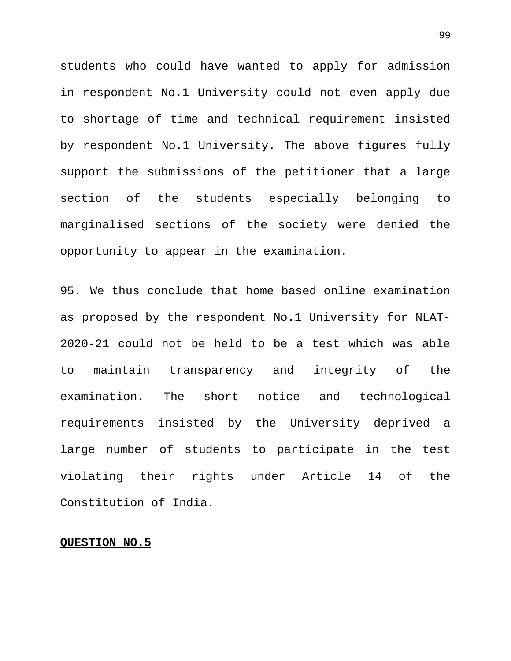students who could have wanted to apply for admission in respondent No.1 University could not even apply due to shortage of time and technical requirement insisted by respondent No.1 University. The above figures fully support the submissions of the petitioner that a large section of the students especially belonging to marginalised sections of the society were denied the opportunity to appear in the examination.

95. We thus conclude that home based online examination as proposed by the respondent No.1 University for NLAT-2020-21 could not be held to be a test which was able to maintain transparency and integrity of the examination. The short notice and technological requirements insisted by the University deprived a large number of students to participate in the test violating their rights under Article 14 of the Constitution of India.

## **QUESTION NO.5**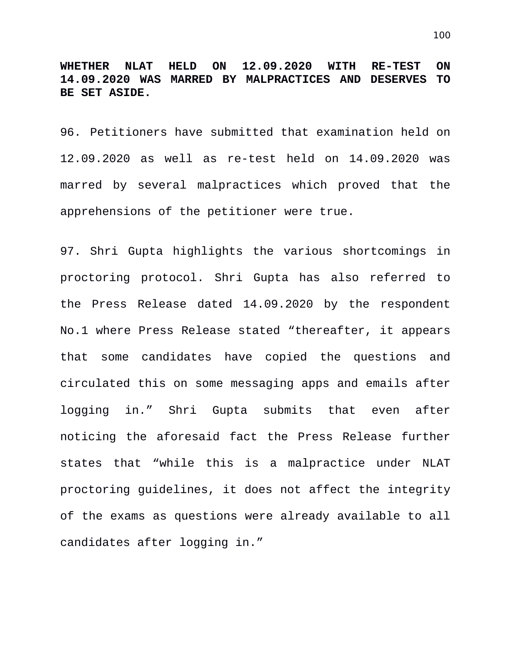**WHETHER NLAT HELD ON 12.09.2020 WITH RE-TEST ON 14.09.2020 WAS MARRED BY MALPRACTICES AND DESERVES TO BE SET ASIDE.**

96. Petitioners have submitted that examination held on 12.09.2020 as well as re-test held on 14.09.2020 was marred by several malpractices which proved that the apprehensions of the petitioner were true.

97. Shri Gupta highlights the various shortcomings in proctoring protocol. Shri Gupta has also referred to the Press Release dated 14.09.2020 by the respondent No.1 where Press Release stated "thereafter, it appears that some candidates have copied the questions and circulated this on some messaging apps and emails after logging in." Shri Gupta submits that even after noticing the aforesaid fact the Press Release further states that "while this is a malpractice under NLAT proctoring guidelines, it does not affect the integrity of the exams as questions were already available to all candidates after logging in."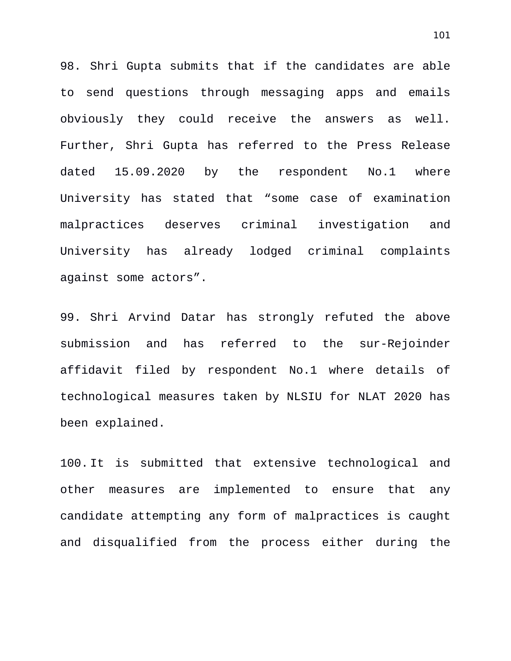98. Shri Gupta submits that if the candidates are able to send questions through messaging apps and emails obviously they could receive the answers as well. Further, Shri Gupta has referred to the Press Release dated 15.09.2020 by the respondent No.1 where University has stated that "some case of examination malpractices deserves criminal investigation and University has already lodged criminal complaints against some actors".

99. Shri Arvind Datar has strongly refuted the above submission and has referred to the sur-Rejoinder affidavit filed by respondent No.1 where details of technological measures taken by NLSIU for NLAT 2020 has been explained.

100. It is submitted that extensive technological and other measures are implemented to ensure that any candidate attempting any form of malpractices is caught and disqualified from the process either during the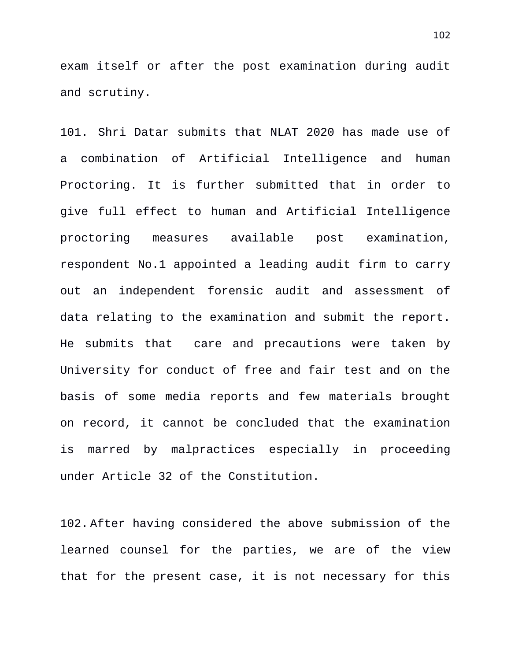exam itself or after the post examination during audit and scrutiny.

101. Shri Datar submits that NLAT 2020 has made use of a combination of Artificial Intelligence and human Proctoring. It is further submitted that in order to give full effect to human and Artificial Intelligence proctoring measures available post examination, respondent No.1 appointed a leading audit firm to carry out an independent forensic audit and assessment of data relating to the examination and submit the report. He submits that care and precautions were taken by University for conduct of free and fair test and on the basis of some media reports and few materials brought on record, it cannot be concluded that the examination is marred by malpractices especially in proceeding under Article 32 of the Constitution.

102. After having considered the above submission of the learned counsel for the parties, we are of the view that for the present case, it is not necessary for this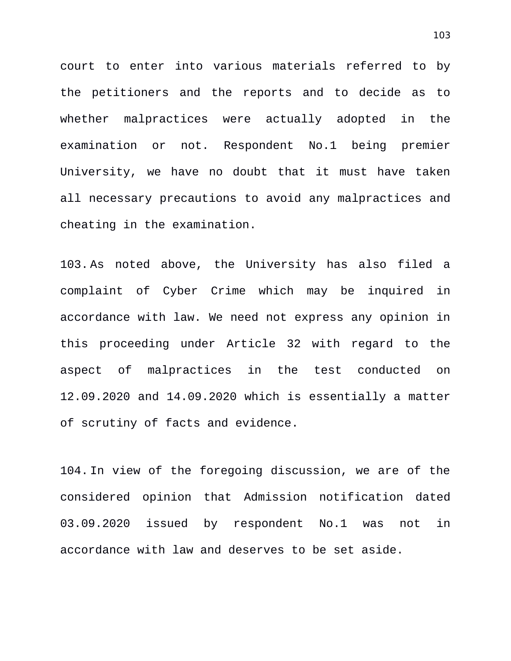court to enter into various materials referred to by the petitioners and the reports and to decide as to whether malpractices were actually adopted in the examination or not. Respondent No.1 being premier University, we have no doubt that it must have taken all necessary precautions to avoid any malpractices and cheating in the examination.

103. As noted above, the University has also filed a complaint of Cyber Crime which may be inquired in accordance with law. We need not express any opinion in this proceeding under Article 32 with regard to the aspect of malpractices in the test conducted on 12.09.2020 and 14.09.2020 which is essentially a matter of scrutiny of facts and evidence.

104. In view of the foregoing discussion, we are of the considered opinion that Admission notification dated 03.09.2020 issued by respondent No.1 was not in accordance with law and deserves to be set aside.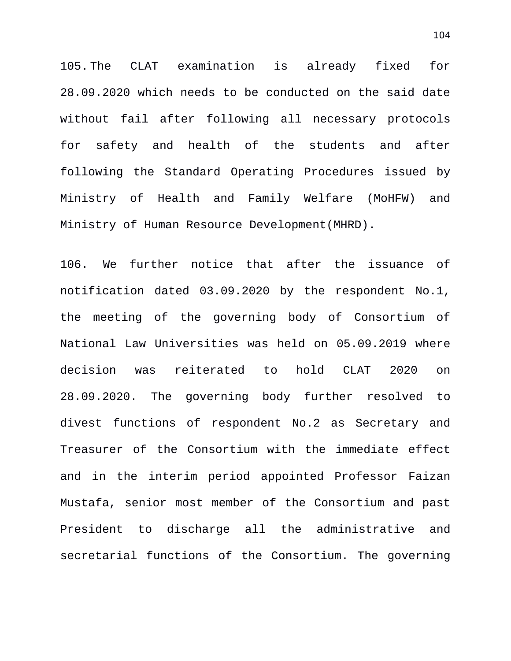105. The CLAT examination is already fixed for 28.09.2020 which needs to be conducted on the said date without fail after following all necessary protocols for safety and health of the students and after following the Standard Operating Procedures issued by Ministry of Health and Family Welfare (MoHFW) and Ministry of Human Resource Development(MHRD).

106. We further notice that after the issuance of notification dated 03.09.2020 by the respondent No.1, the meeting of the governing body of Consortium of National Law Universities was held on 05.09.2019 where decision was reiterated to hold CLAT 2020 on 28.09.2020. The governing body further resolved to divest functions of respondent No.2 as Secretary and Treasurer of the Consortium with the immediate effect and in the interim period appointed Professor Faizan Mustafa, senior most member of the Consortium and past President to discharge all the administrative and secretarial functions of the Consortium. The governing

104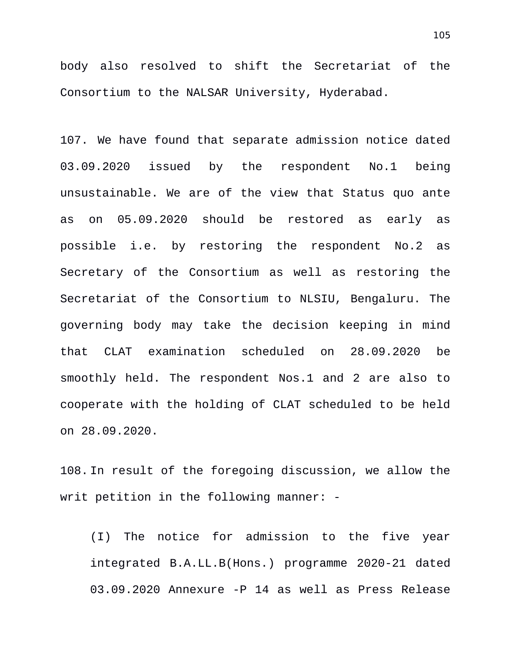body also resolved to shift the Secretariat of the Consortium to the NALSAR University, Hyderabad.

107. We have found that separate admission notice dated 03.09.2020 issued by the respondent No.1 being unsustainable. We are of the view that Status quo ante as on 05.09.2020 should be restored as early as possible i.e. by restoring the respondent No.2 as Secretary of the Consortium as well as restoring the Secretariat of the Consortium to NLSIU, Bengaluru. The governing body may take the decision keeping in mind that CLAT examination scheduled on 28.09.2020 be smoothly held. The respondent Nos.1 and 2 are also to cooperate with the holding of CLAT scheduled to be held on 28.09.2020.

108. In result of the foregoing discussion, we allow the writ petition in the following manner: -

(I) The notice for admission to the five year integrated B.A.LL.B(Hons.) programme 2020-21 dated 03.09.2020 Annexure -P 14 as well as Press Release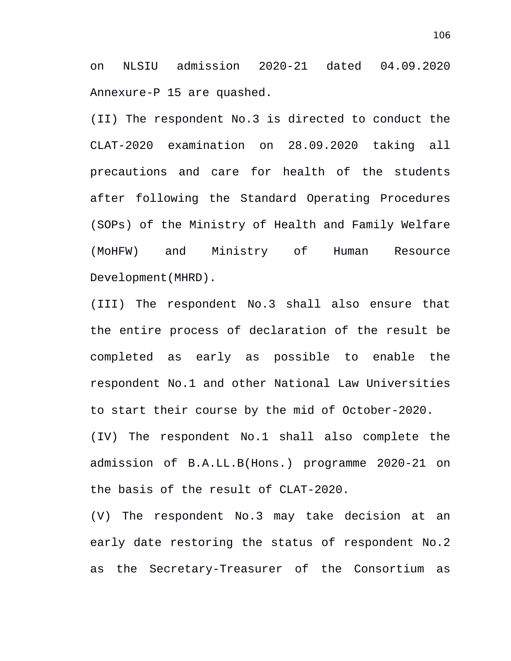on NLSIU admission 2020-21 dated 04.09.2020 Annexure-P 15 are quashed.

(II) The respondent No.3 is directed to conduct the CLAT-2020 examination on 28.09.2020 taking all precautions and care for health of the students after following the Standard Operating Procedures (SOPs) of the Ministry of Health and Family Welfare (MoHFW) and Ministry of Human Resource Development(MHRD).

(III) The respondent No.3 shall also ensure that the entire process of declaration of the result be completed as early as possible to enable the respondent No.1 and other National Law Universities to start their course by the mid of October-2020. (IV) The respondent No.1 shall also complete the admission of B.A.LL.B(Hons.) programme 2020-21 on the basis of the result of CLAT-2020.

(V) The respondent No.3 may take decision at an early date restoring the status of respondent No.2 as the Secretary-Treasurer of the Consortium as